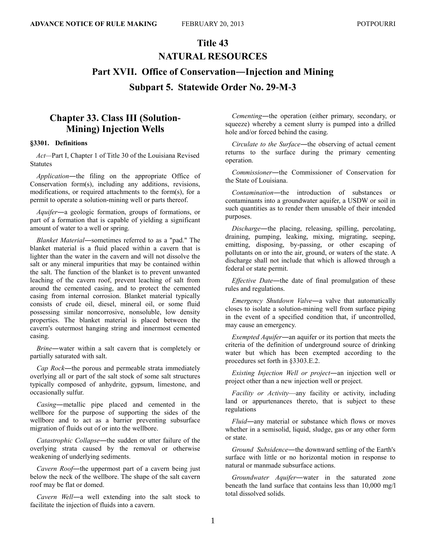# **Title 43 NATURAL RESOURCES Part XVII. Office of Conservation―Injection and Mining Subpart 5. Statewide Order No. 29-M-3**

# **Chapter 33. Class III (Solution-Mining) Injection Wells**

#### **§3301. Definitions**

*Act—*Part I, Chapter 1 of Title 30 of the Louisiana Revised **Statutes** 

*Application*―the filing on the appropriate Office of Conservation form(s), including any additions, revisions, modifications, or required attachments to the form(s), for a permit to operate a solution-mining well or parts thereof.

*Aquifer*―a geologic formation, groups of formations, or part of a formation that is capable of yielding a significant amount of water to a well or spring.

*Blanket Material*―sometimes referred to as a "pad." The blanket material is a fluid placed within a cavern that is lighter than the water in the cavern and will not dissolve the salt or any mineral impurities that may be contained within the salt. The function of the blanket is to prevent unwanted leaching of the cavern roof, prevent leaching of salt from around the cemented casing, and to protect the cemented casing from internal corrosion. Blanket material typically consists of crude oil, diesel, mineral oil, or some fluid possessing similar noncorrosive, nonsoluble, low density properties. The blanket material is placed between the cavern's outermost hanging string and innermost cemented casing.

*Brine*―water within a salt cavern that is completely or partially saturated with salt.

*Cap Rock*―the porous and permeable strata immediately overlying all or part of the salt stock of some salt structures typically composed of anhydrite, gypsum, limestone, and occasionally sulfur.

*Casing*―metallic pipe placed and cemented in the wellbore for the purpose of supporting the sides of the wellbore and to act as a barrier preventing subsurface migration of fluids out of or into the wellbore.

*Catastrophic Collapse*―the sudden or utter failure of the overlying strata caused by the removal or otherwise weakening of underlying sediments.

*Cavern Roof*―the uppermost part of a cavern being just below the neck of the wellbore. The shape of the salt cavern roof may be flat or domed.

*Cavern Well*―a well extending into the salt stock to facilitate the injection of fluids into a cavern.

*Cementing*―the operation (either primary, secondary, or squeeze) whereby a cement slurry is pumped into a drilled hole and/or forced behind the casing.

*Circulate to the Surface*―the observing of actual cement returns to the surface during the primary cementing operation.

*Commissioner*―the Commissioner of Conservation for the State of Louisiana.

*Contamination*―the introduction of substances or contaminants into a groundwater aquifer, a USDW or soil in such quantities as to render them unusable of their intended purposes.

*Discharge*―the placing, releasing, spilling, percolating, draining, pumping, leaking, mixing, migrating, seeping, emitting, disposing, by-passing, or other escaping of pollutants on or into the air, ground, or waters of the state. A discharge shall not include that which is allowed through a federal or state permit.

*Effective Date*―the date of final promulgation of these rules and regulations.

*Emergency Shutdown Valve*―a valve that automatically closes to isolate a solution-mining well from surface piping in the event of a specified condition that, if uncontrolled, may cause an emergency.

*Exempted Aquifer*―an aquifer or its portion that meets the criteria of the definition of underground source of drinking water but which has been exempted according to the procedures set forth in §3303.E.2.

*Existing Injection Well or project*―an injection well or project other than a new injection well or project.

*Facility or Activity*—any facility or activity, including land or appurtenances thereto, that is subject to these regulations

*Fluid*―any material or substance which flows or moves whether in a semisolid, liquid, sludge, gas or any other form or state.

*Ground Subsidence*―the downward settling of the Earth's surface with little or no horizontal motion in response to natural or manmade subsurface actions.

*Groundwater Aquifer*―water in the saturated zone beneath the land surface that contains less than 10,000 mg/l total dissolved solids.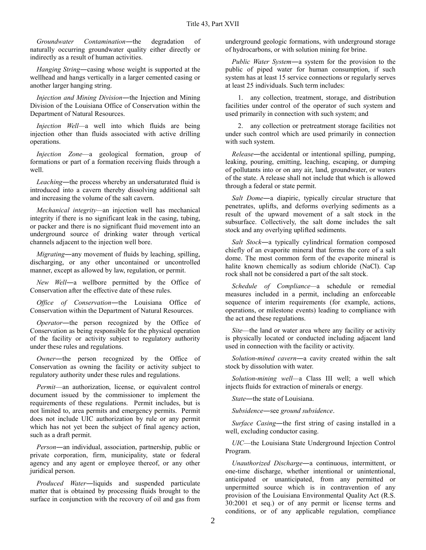*Groundwater Contamination*―the degradation of naturally occurring groundwater quality either directly or indirectly as a result of human activities.

*Hanging String*―casing whose weight is supported at the wellhead and hangs vertically in a larger cemented casing or another larger hanging string.

*Injection and Mining Division*―the Injection and Mining Division of the Louisiana Office of Conservation within the Department of Natural Resources.

*Injection Well—*a well into which fluids are being injection other than fluids associated with active drilling operations.

*Injection Zone*—a geological formation, group of formations or part of a formation receiving fluids through a well.

*Leaching*―the process whereby an undersaturated fluid is introduced into a cavern thereby dissolving additional salt and increasing the volume of the salt cavern.

*Mechanical integrity—*an injection well has mechanical integrity if there is no significant leak in the casing, tubing, or packer and there is no significant fluid movement into an underground source of drinking water through vertical channels adjacent to the injection well bore.

*Migrating*―any movement of fluids by leaching, spilling, discharging, or any other uncontained or uncontrolled manner, except as allowed by law, regulation, or permit.

*New Well*―a wellbore permitted by the Office of Conservation after the effective date of these rules.

*Office of Conservation*―the Louisiana Office of Conservation within the Department of Natural Resources.

*Operator*—the person recognized by the Office of Conservation as being responsible for the physical operation of the facility or activity subject to regulatory authority under these rules and regulations.

*Owner*―the person recognized by the Office of Conservation as owning the facility or activity subject to regulatory authority under these rules and regulations.

*Permit*—an authorization, license, or equivalent control document issued by the commissioner to implement the requirements of these regulations. Permit includes, but is not limited to, area permits and emergency permits. Permit does not include UIC authorization by rule or any permit which has not yet been the subject of final agency action, such as a draft permit.

*Person*―an individual, association, partnership, public or private corporation, firm, municipality, state or federal agency and any agent or employee thereof, or any other juridical person.

*Produced Water*―liquids and suspended particulate matter that is obtained by processing fluids brought to the surface in conjunction with the recovery of oil and gas from underground geologic formations, with underground storage of hydrocarbons, or with solution mining for brine.

*Public Water System*―a system for the provision to the public of piped water for human consumption, if such system has at least 15 service connections or regularly serves at least 25 individuals. Such term includes:

1. any collection, treatment, storage, and distribution facilities under control of the operator of such system and used primarily in connection with such system; and

2. any collection or pretreatment storage facilities not under such control which are used primarily in connection with such system.

*Release*―the accidental or intentional spilling, pumping, leaking, pouring, emitting, leaching, escaping, or dumping of pollutants into or on any air, land, groundwater, or waters of the state. A release shall not include that which is allowed through a federal or state permit.

*Salt Dome*―a diapiric, typically circular structure that penetrates, uplifts, and deforms overlying sediments as a result of the upward movement of a salt stock in the subsurface. Collectively, the salt dome includes the salt stock and any overlying uplifted sediments.

*Salt Stock*―a typically cylindrical formation composed chiefly of an evaporite mineral that forms the core of a salt dome. The most common form of the evaporite mineral is halite known chemically as sodium chloride (NaCl). Cap rock shall not be considered a part of the salt stock.

*Schedule of Compliance—*a schedule or remedial measures included in a permit, including an enforceable sequence of interim requirements (for example, actions, operations, or milestone events) leading to compliance with the act and these regulations.

*Site*—the land or water area where any facility or activity is physically located or conducted including adjacent land used in connection with the facility or activity.

*Solution-mined cavern*―a cavity created within the salt stock by dissolution with water.

*Solution-mining well—*a Class III well; a well which injects fluids for extraction of minerals or energy.

*State*―the state of Louisiana.

*Subsidence*―see *ground subsidence*.

*Surface Casing*―the first string of casing installed in a well, excluding conductor casing.

*UIC*—the Louisiana State Underground Injection Control Program.

*Unauthorized Discharge*―a continuous, intermittent, or one-time discharge, whether intentional or unintentional, anticipated or unanticipated, from any permitted or unpermitted source which is in contravention of any provision of the Louisiana Environmental Quality Act (R.S. 30:2001 et seq.) or of any permit or license terms and conditions, or of any applicable regulation, compliance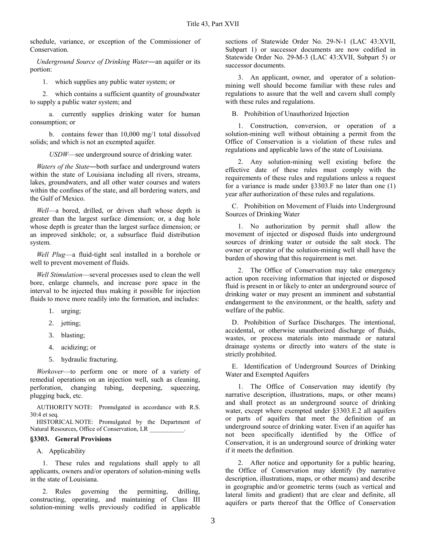schedule, variance, or exception of the Commissioner of Conservation.

*Underground Source of Drinking Water*―an aquifer or its portion:

1. which supplies any public water system; or

2. which contains a sufficient quantity of groundwater to supply a public water system; and

a. currently supplies drinking water for human consumption; or

b. contains fewer than 10,000 mg/1 total dissolved solids; and which is not an exempted aquifer.

*USDW*—see underground source of drinking water.

*Waters of the State*―both surface and underground waters within the state of Louisiana including all rivers, streams, lakes, groundwaters, and all other water courses and waters within the confines of the state, and all bordering waters, and the Gulf of Mexico.

*Well*—a bored, drilled, or driven shaft whose depth is greater than the largest surface dimension; or, a dug hole whose depth is greater than the largest surface dimension; or an improved sinkhole; or, a subsurface fluid distribution system.

*Well Plug*—a fluid-tight seal installed in a borehole or well to prevent movement of fluids.

*Well Stimulation*—several processes used to clean the well bore, enlarge channels, and increase pore space in the interval to be injected thus making it possible for injection fluids to move more readily into the formation, and includes:

- 1. urging;
- 2. jetting;
- 3. blasting;
- 4. acidizing; or
- 5. hydraulic fracturing.

*Workover*—to perform one or more of a variety of remedial operations on an injection well, such as cleaning, perforation, changing tubing, deepening, squeezing, plugging back, etc.

AUTHORITY NOTE: Promulgated in accordance with R.S. 30:4 et seq.

HISTORICAL NOTE: Promulgated by the Department of Natural Resources, Office of Conservation, LR \_\_\_\_\_\_\_\_\_\_\_.

#### **§3303. General Provisions**

#### A. Applicability

1. These rules and regulations shall apply to all applicants, owners and/or operators of solution-mining wells in the state of Louisiana.

2. Rules governing the permitting, drilling, constructing, operating, and maintaining of Class III solution-mining wells previously codified in applicable

sections of Statewide Order No. 29-N-1 (LAC 43:XVII, Subpart 1) or successor documents are now codified in Statewide Order No. 29-M-3 (LAC 43:XVII, Subpart 5) or successor documents.

3. An applicant, owner, and operator of a solutionmining well should become familiar with these rules and regulations to assure that the well and cavern shall comply with these rules and regulations.

B. Prohibition of Unauthorized Injection

1. Construction, conversion, or operation of a solution-mining well without obtaining a permit from the Office of Conservation is a violation of these rules and regulations and applicable laws of the state of Louisiana.

2. Any solution-mining well existing before the effective date of these rules must comply with the requirements of these rules and regulations unless a request for a variance is made under §3303.F no later than one (1) year after authorization of these rules and regulations.

C. Prohibition on Movement of Fluids into Underground Sources of Drinking Water

1. No authorization by permit shall allow the movement of injected or disposed fluids into underground sources of drinking water or outside the salt stock. The owner or operator of the solution-mining well shall have the burden of showing that this requirement is met.

2. The Office of Conservation may take emergency action upon receiving information that injected or disposed fluid is present in or likely to enter an underground source of drinking water or may present an imminent and substantial endangerment to the environment, or the health, safety and welfare of the public.

D. Prohibition of Surface Discharges. The intentional, accidental, or otherwise unauthorized discharge of fluids, wastes, or process materials into manmade or natural drainage systems or directly into waters of the state is strictly prohibited.

E. Identification of Underground Sources of Drinking Water and Exempted Aquifers

1. The Office of Conservation may identify (by narrative description, illustrations, maps, or other means) and shall protect as an underground source of drinking water, except where exempted under §3303.E.2 all aquifers or parts of aquifers that meet the definition of an underground source of drinking water. Even if an aquifer has not been specifically identified by the Office of Conservation, it is an underground source of drinking water if it meets the definition.

2. After notice and opportunity for a public hearing, the Office of Conservation may identify (by narrative description, illustrations, maps, or other means) and describe in geographic and/or geometric terms (such as vertical and lateral limits and gradient) that are clear and definite, all aquifers or parts thereof that the Office of Conservation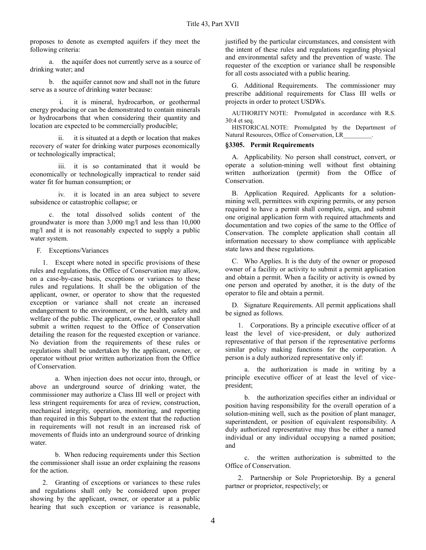proposes to denote as exempted aquifers if they meet the following criteria:

a. the aquifer does not currently serve as a source of drinking water; and

b. the aquifer cannot now and shall not in the future serve as a source of drinking water because:

it is mineral, hydrocarbon, or geothermal energy producing or can be demonstrated to contain minerals or hydrocarbons that when considering their quantity and location are expected to be commercially producible;

ii. it is situated at a depth or location that makes recovery of water for drinking water purposes economically or technologically impractical;

iii. it is so contaminated that it would be economically or technologically impractical to render said water fit for human consumption; or

iv. it is located in an area subject to severe subsidence or catastrophic collapse; or

c. the total dissolved solids content of the groundwater is more than 3,000 mg/l and less than 10,000 mg/l and it is not reasonably expected to supply a public water system.

F. Exceptions/Variances

1. Except where noted in specific provisions of these rules and regulations, the Office of Conservation may allow, on a case-by-case basis, exceptions or variances to these rules and regulations. It shall be the obligation of the applicant, owner, or operator to show that the requested exception or variance shall not create an increased endangerment to the environment, or the health, safety and welfare of the public. The applicant, owner, or operator shall submit a written request to the Office of Conservation detailing the reason for the requested exception or variance. No deviation from the requirements of these rules or regulations shall be undertaken by the applicant, owner, or operator without prior written authorization from the Office of Conservation.

a. When injection does not occur into, through, or above an underground source of drinking water, the commissioner may authorize a Class III well or project with less stringent requirements for area of review, construction, mechanical integrity, operation, monitoring, and reporting than required in this Subpart to the extent that the reduction in requirements will not result in an increased risk of movements of fluids into an underground source of drinking water.

b. When reducing requirements under this Section the commissioner shall issue an order explaining the reasons for the action.

2. Granting of exceptions or variances to these rules and regulations shall only be considered upon proper showing by the applicant, owner, or operator at a public hearing that such exception or variance is reasonable,

justified by the particular circumstances, and consistent with the intent of these rules and regulations regarding physical and environmental safety and the prevention of waste. The requester of the exception or variance shall be responsible for all costs associated with a public hearing.

G. Additional Requirements. The commissioner may prescribe additional requirements for Class III wells or projects in order to protect USDWs.

AUTHORITY NOTE: Promulgated in accordance with R.S. 30:4 et seq.

HISTORICAL NOTE: Promulgated by the Department of Natural Resources, Office of Conservation, LR\_\_\_\_\_\_\_\_\_.

#### **§3305. Permit Requirements**

A. Applicability. No person shall construct, convert, or operate a solution-mining well without first obtaining written authorization (permit) from the Office of Conservation.

B. Application Required. Applicants for a solutionmining well, permittees with expiring permits, or any person required to have a permit shall complete, sign, and submit one original application form with required attachments and documentation and two copies of the same to the Office of Conservation. The complete application shall contain all information necessary to show compliance with applicable state laws and these regulations.

C. Who Applies. It is the duty of the owner or proposed owner of a facility or activity to submit a permit application and obtain a permit. When a facility or activity is owned by one person and operated by another, it is the duty of the operator to file and obtain a permit.

D. Signature Requirements. All permit applications shall be signed as follows.

1. Corporations. By a principle executive officer of at least the level of vice-president, or duly authorized representative of that person if the representative performs similar policy making functions for the corporation. A person is a duly authorized representative only if:

a. the authorization is made in writing by a principle executive officer of at least the level of vicepresident;

b. the authorization specifies either an individual or position having responsibility for the overall operation of a solution-mining well, such as the position of plant manager, superintendent, or position of equivalent responsibility. A duly authorized representative may thus be either a named individual or any individual occupying a named position; and

c. the written authorization is submitted to the Office of Conservation.

2. Partnership or Sole Proprietorship. By a general partner or proprietor, respectively; or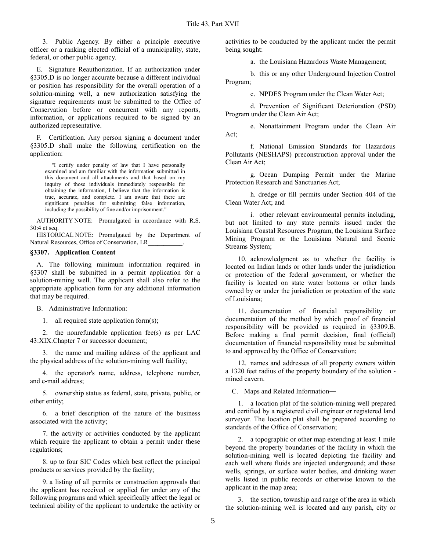3. Public Agency. By either a principle executive officer or a ranking elected official of a municipality, state, federal, or other public agency.

E. Signature Reauthorization. If an authorization under §3305.D is no longer accurate because a different individual or position has responsibility for the overall operation of a solution-mining well, a new authorization satisfying the signature requirements must be submitted to the Office of Conservation before or concurrent with any reports, information, or applications required to be signed by an authorized representative.

F. Certification. Any person signing a document under §3305.D shall make the following certification on the application:

"I certify under penalty of law that I have personally examined and am familiar with the information submitted in this document and all attachments and that based on my inquiry of those individuals immediately responsible for obtaining the information, I believe that the information is true, accurate, and complete. I am aware that there are significant penalties for submitting false information, including the possibility of fine and/or imprisonment."

AUTHORITY NOTE: Promulgated in accordance with R.S. 30:4 et seq.

HISTORICAL NOTE: Promulgated by the Department of Natural Resources, Office of Conservation, LR\_\_\_\_\_\_\_\_\_\_\_.

#### **§3307. Application Content**

A. The following minimum information required in §3307 shall be submitted in a permit application for a solution-mining well. The applicant shall also refer to the appropriate application form for any additional information that may be required.

B. Administrative Information:

1. all required state application form(s);

2. the nonrefundable application fee(s) as per LAC 43:XIX.Chapter 7 or successor document;

3. the name and mailing address of the applicant and the physical address of the solution-mining well facility;

4. the operator's name, address, telephone number, and e-mail address;

5. ownership status as federal, state, private, public, or other entity;

6. a brief description of the nature of the business associated with the activity;

7. the activity or activities conducted by the applicant which require the applicant to obtain a permit under these regulations;

8. up to four SIC Codes which best reflect the principal products or services provided by the facility;

9. a listing of all permits or construction approvals that the applicant has received or applied for under any of the following programs and which specifically affect the legal or technical ability of the applicant to undertake the activity or activities to be conducted by the applicant under the permit being sought:

a. the Louisiana Hazardous Waste Management;

b. this or any other Underground Injection Control Program;

c. NPDES Program under the Clean Water Act;

d. Prevention of Significant Deterioration (PSD) Program under the Clean Air Act;

e. Nonattainment Program under the Clean Air Act;

f. National Emission Standards for Hazardous Pollutants (NESHAPS) preconstruction approval under the Clean Air Act;

g. Ocean Dumping Permit under the Marine Protection Research and Sanctuaries Act;

h. dredge or fill permits under Section 404 of the Clean Water Act; and

i. other relevant environmental permits including, but not limited to any state permits issued under the Louisiana Coastal Resources Program, the Louisiana Surface Mining Program or the Louisiana Natural and Scenic Streams System;

10. acknowledgment as to whether the facility is located on Indian lands or other lands under the jurisdiction or protection of the federal government, or whether the facility is located on state water bottoms or other lands owned by or under the jurisdiction or protection of the state of Louisiana;

11. documentation of financial responsibility or documentation of the method by which proof of financial responsibility will be provided as required in §3309.B. Before making a final permit decision, final (official) documentation of financial responsibility must be submitted to and approved by the Office of Conservation;

12. names and addresses of all property owners within a 1320 feet radius of the property boundary of the solution mined cavern.

C. Maps and Related Information―

1. a location plat of the solution-mining well prepared and certified by a registered civil engineer or registered land surveyor. The location plat shall be prepared according to standards of the Office of Conservation;

2. a topographic or other map extending at least 1 mile beyond the property boundaries of the facility in which the solution-mining well is located depicting the facility and each well where fluids are injected underground; and those wells, springs, or surface water bodies, and drinking water wells listed in public records or otherwise known to the applicant in the map area;

3. the section, township and range of the area in which the solution-mining well is located and any parish, city or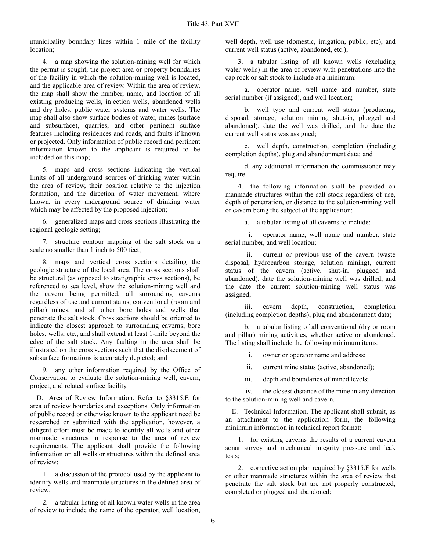municipality boundary lines within 1 mile of the facility location;

4. a map showing the solution-mining well for which the permit is sought, the project area or property boundaries of the facility in which the solution-mining well is located, and the applicable area of review. Within the area of review, the map shall show the number, name, and location of all existing producing wells, injection wells, abandoned wells and dry holes, public water systems and water wells. The map shall also show surface bodies of water, mines (surface and subsurface), quarries, and other pertinent surface features including residences and roads, and faults if known or projected. Only information of public record and pertinent information known to the applicant is required to be included on this map;

5. maps and cross sections indicating the vertical limits of all underground sources of drinking water within the area of review, their position relative to the injection formation, and the direction of water movement, where known, in every underground source of drinking water which may be affected by the proposed injection;

6. generalized maps and cross sections illustrating the regional geologic setting;

7. structure contour mapping of the salt stock on a scale no smaller than 1 inch to 500 feet;

8. maps and vertical cross sections detailing the geologic structure of the local area. The cross sections shall be structural (as opposed to stratigraphic cross sections), be referenced to sea level, show the solution-mining well and the cavern being permitted, all surrounding caverns regardless of use and current status, conventional (room and pillar) mines, and all other bore holes and wells that penetrate the salt stock. Cross sections should be oriented to indicate the closest approach to surrounding caverns, bore holes, wells, etc., and shall extend at least 1-mile beyond the edge of the salt stock. Any faulting in the area shall be illustrated on the cross sections such that the displacement of subsurface formations is accurately depicted; and

9. any other information required by the Office of Conservation to evaluate the solution-mining well, cavern, project, and related surface facility.

D. Area of Review Information. Refer to §3315.E for area of review boundaries and exceptions. Only information of public record or otherwise known to the applicant need be researched or submitted with the application, however, a diligent effort must be made to identify all wells and other manmade structures in response to the area of review requirements. The applicant shall provide the following information on all wells or structures within the defined area of review:

1. a discussion of the protocol used by the applicant to identify wells and manmade structures in the defined area of review;

2. a tabular listing of all known water wells in the area of review to include the name of the operator, well location,

well depth, well use (domestic, irrigation, public, etc), and current well status (active, abandoned, etc.);

3. a tabular listing of all known wells (excluding water wells) in the area of review with penetrations into the cap rock or salt stock to include at a minimum:

a. operator name, well name and number, state serial number (if assigned), and well location;

b. well type and current well status (producing, disposal, storage, solution mining, shut-in, plugged and abandoned), date the well was drilled, and the date the current well status was assigned;

c. well depth, construction, completion (including completion depths), plug and abandonment data; and

d. any additional information the commissioner may require.

4. the following information shall be provided on manmade structures within the salt stock regardless of use, depth of penetration, or distance to the solution-mining well or cavern being the subject of the application:

a. a tabular listing of all caverns to include:

i. operator name, well name and number, state serial number, and well location;

ii. current or previous use of the cavern (waste disposal, hydrocarbon storage, solution mining), current status of the cavern (active, shut-in, plugged and abandoned), date the solution-mining well was drilled, and the date the current solution-mining well status was assigned;

iii. cavern depth, construction, completion (including completion depths), plug and abandonment data;

b. a tabular listing of all conventional (dry or room and pillar) mining activities, whether active or abandoned. The listing shall include the following minimum items:

i. owner or operator name and address;

ii. current mine status (active, abandoned);

iii. depth and boundaries of mined levels;

iv. the closest distance of the mine in any direction to the solution-mining well and cavern.

E. Technical Information. The applicant shall submit, as an attachment to the application form, the following minimum information in technical report format:

1. for existing caverns the results of a current cavern sonar survey and mechanical integrity pressure and leak tests;

2. corrective action plan required by §3315.F for wells or other manmade structures within the area of review that penetrate the salt stock but are not properly constructed, completed or plugged and abandoned;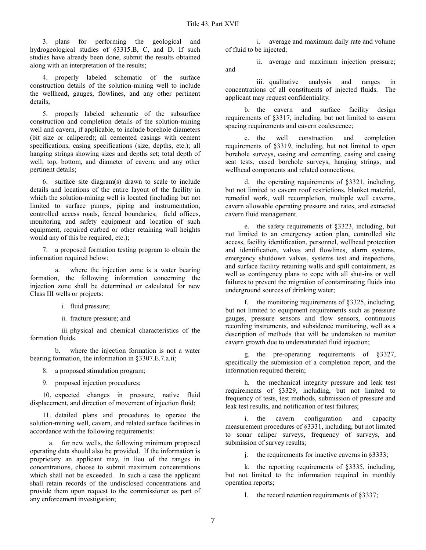3. plans for performing the geological and hydrogeological studies of §3315.B, C, and D. If such studies have already been done, submit the results obtained along with an interpretation of the results;

4. properly labeled schematic of the surface construction details of the solution-mining well to include the wellhead, gauges, flowlines, and any other pertinent details;

5. properly labeled schematic of the subsurface construction and completion details of the solution-mining well and cavern, if applicable, to include borehole diameters (bit size or calipered); all cemented casings with cement specifications, casing specifications (size, depths, etc.); all hanging strings showing sizes and depths set; total depth of well; top, bottom, and diameter of cavern; and any other pertinent details;

6. surface site diagram(s) drawn to scale to include details and locations of the entire layout of the facility in which the solution-mining well is located (including but not limited to surface pumps, piping and instrumentation, controlled access roads, fenced boundaries, field offices, monitoring and safety equipment and location of such equipment, required curbed or other retaining wall heights would any of this be required, etc.);

7. a proposed formation testing program to obtain the information required below:

a. where the injection zone is a water bearing formation, the following information concerning the injection zone shall be determined or calculated for new Class III wells or projects:

- i. fluid pressure;
- ii. fracture pressure; and

iii. physical and chemical characteristics of the formation fluids.

b. where the injection formation is not a water bearing formation, the information in §3307.E.7.a.ii;

- 8. a proposed stimulation program;
- 9. proposed injection procedures;

10. expected changes in pressure, native fluid displacement, and direction of movement of injection fluid;

11. detailed plans and procedures to operate the solution-mining well, cavern, and related surface facilities in accordance with the following requirements:

a. for new wells, the following minimum proposed operating data should also be provided. If the information is proprietary an applicant may, in lieu of the ranges in concentrations, choose to submit maximum concentrations which shall not be exceeded. In such a case the applicant shall retain records of the undisclosed concentrations and provide them upon request to the commissioner as part of any enforcement investigation;

i. average and maximum daily rate and volume of fluid to be injected;

ii. average and maximum injection pressure; and

iii. qualitative analysis and ranges in concentrations of all constituents of injected fluids. The applicant may request confidentiality.

b. the cavern and surface facility design requirements of §3317, including, but not limited to cavern spacing requirements and cavern coalescence;

c. the well construction and completion requirements of §3319, including, but not limited to open borehole surveys, casing and cementing, casing and casing seat tests, cased borehole surveys, hanging strings, and wellhead components and related connections;

d. the operating requirements of §3321, including, but not limited to cavern roof restrictions, blanket material, remedial work, well recompletion, multiple well caverns, cavern allowable operating pressure and rates, and extracted cavern fluid management.

e. the safety requirements of §3323, including, but not limited to an emergency action plan, controlled site access, facility identification, personnel, wellhead protection and identification, valves and flowlines, alarm systems, emergency shutdown valves, systems test and inspections, and surface facility retaining walls and spill containment, as well as contingency plans to cope with all shut-ins or well failures to prevent the migration of contaminating fluids into underground sources of drinking water;

f. the monitoring requirements of §3325, including, but not limited to equipment requirements such as pressure gauges, pressure sensors and flow sensors, continuous recording instruments, and subsidence monitoring, well as a description of methods that will be undertaken to monitor cavern growth due to undersaturated fluid injection;

g. the pre-operating requirements of §3327, specifically the submission of a completion report, and the information required therein;

h. the mechanical integrity pressure and leak test requirements of §3329, including, but not limited to frequency of tests, test methods, submission of pressure and leak test results, and notification of test failures;

i. the cavern configuration and capacity measurement procedures of §3331, including, but not limited to sonar caliper surveys, frequency of surveys, and submission of survey results;

j. the requirements for inactive caverns in §3333;

k. the reporting requirements of §3335, including, but not limited to the information required in monthly operation reports;

l. the record retention requirements of §3337;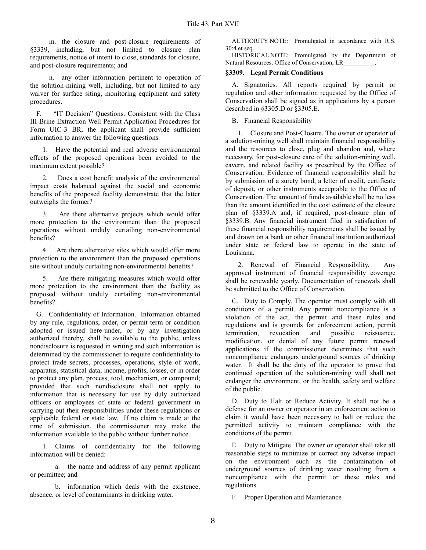m. the closure and post-closure requirements of §3339, including, but not limited to closure plan requirements, notice of intent to close, standards for closure, and post-closure requirements; and

n. any other information pertinent to operation of the solution-mining well, including, but not limited to any waiver for surface siting, monitoring equipment and safety procedures.

F. "IT Decision" Questions. Consistent with the Class III Brine Extraction Well Permit Application Procedures for Form UIC-3 BR, the applicant shall provide sufficient information to answer the following questions.

1. Have the potential and real adverse environmental effects of the proposed operations been avoided to the maximum extent possible?

2. Does a cost benefit analysis of the environmental impact costs balanced against the social and economic benefits of the proposed facility demonstrate that the latter outweighs the former?

3. Are there alternative projects which would offer more protection to the environment than the proposed operations without unduly curtailing non-environmental benefits?

4. Are there alternative sites which would offer more protection to the environment than the proposed operations site without unduly curtailing non-environmental benefits?

Are there mitigating measures which would offer more protection to the environment than the facility as proposed without unduly curtailing non-environmental benefits?

G. Confidentiality of Information. Information obtained by any rule, regulations, order, or permit term or condition adopted or issued here-under, or by any investigation authorized thereby, shall be available to the public, unless nondisclosure is requested in writing and such information is determined by the commissioner to require confidentiality to protect trade secrets, processes, operations, style of work, apparatus, statistical data, income, profits, losses, or in order to protect any plan, process, tool, mechanism, or compound; provided that such nondisclosure shall not apply to information that is necessary for use by duly authorized officers or employees of state or federal government in carrying out their responsibilities under these regulations or applicable federal or state law. If no claim is made at the time of submission, the commissioner may make the information available to the public without further notice.

1. Claims of confidentiality for the following information will be denied:

a. the name and address of any permit applicant or permittee; and

b. information which deals with the existence, absence, or level of contaminants in drinking water.

AUTHORITY NOTE: Promulgated in accordance with R.S. 30:4 et seq.

HISTORICAL NOTE: Promulgated by the Department of Natural Resources, Office of Conservation, LR\_\_\_\_\_\_\_\_\_\_.

#### **§3309. Legal Permit Conditions**

A. Signatories. All reports required by permit or regulation and other information requested by the Office of Conservation shall be signed as in applications by a person described in §3305.D or §3305.E.

#### B. Financial Responsibility

1. Closure and Post-Closure. The owner or operator of a solution-mining well shall maintain financial responsibility and the resources to close, plug and abandon and, where necessary, for post-closure care of the solution-mining well, cavern, and related facility as prescribed by the Office of Conservation. Evidence of financial responsibility shall be by submission of a surety bond, a letter of credit, certificate of deposit, or other instruments acceptable to the Office of Conservation. The amount of funds available shall be no less than the amount identified in the cost estimate of the closure plan of §3339.A and, if required, post-closure plan of §3339.B. Any financial instrument filed in satisfaction of these financial responsibility requirements shall be issued by and drawn on a bank or other financial institution authorized under state or federal law to operate in the state of Louisiana.

2. Renewal of Financial Responsibility. Any approved instrument of financial responsibility coverage shall be renewable yearly. Documentation of renewals shall be submitted to the Office of Conservation.

C. Duty to Comply. The operator must comply with all conditions of a permit. Any permit noncompliance is a violation of the act, the permit and these rules and regulations and is grounds for enforcement action, permit termination, revocation and possible reissuance, modification, or denial of any future permit renewal applications if the commissioner determines that such noncompliance endangers underground sources of drinking water. It shall be the duty of the operator to prove that continued operation of the solution-mining well shall not endanger the environment, or the health, safety and welfare of the public.

D. Duty to Halt or Reduce Activity. It shall not be a defense for an owner or operator in an enforcement action to claim it would have been necessary to halt or reduce the permitted activity to maintain compliance with the conditions of the permit.

E. Duty to Mitigate. The owner or operator shall take all reasonable steps to minimize or correct any adverse impact on the environment such as the contamination of underground sources of drinking water resulting from a noncompliance with the permit or these rules and regulations.

F. Proper Operation and Maintenance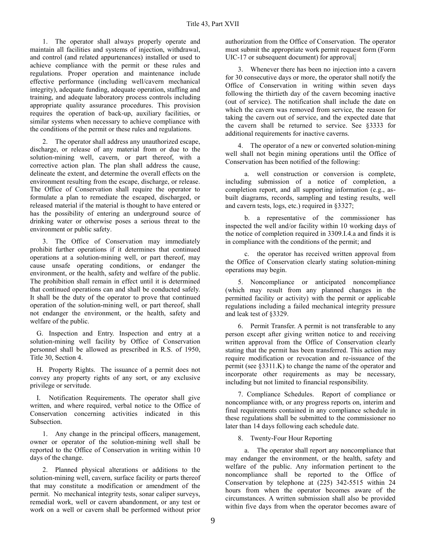1. The operator shall always properly operate and maintain all facilities and systems of injection, withdrawal, and control (and related appurtenances) installed or used to achieve compliance with the permit or these rules and regulations. Proper operation and maintenance include effective performance (including well/cavern mechanical integrity), adequate funding, adequate operation, staffing and training, and adequate laboratory process controls including appropriate quality assurance procedures. This provision requires the operation of back-up, auxiliary facilities, or similar systems when necessary to achieve compliance with the conditions of the permit or these rules and regulations.

2. The operator shall address any unauthorized escape, discharge, or release of any material from or due to the solution-mining well, cavern, or part thereof, with a corrective action plan. The plan shall address the cause, delineate the extent, and determine the overall effects on the environment resulting from the escape, discharge, or release. The Office of Conservation shall require the operator to formulate a plan to remediate the escaped, discharged, or released material if the material is thought to have entered or has the possibility of entering an underground source of drinking water or otherwise poses a serious threat to the environment or public safety.

3. The Office of Conservation may immediately prohibit further operations if it determines that continued operations at a solution-mining well, or part thereof, may cause unsafe operating conditions, or endanger the environment, or the health, safety and welfare of the public. The prohibition shall remain in effect until it is determined that continued operations can and shall be conducted safely. It shall be the duty of the operator to prove that continued operation of the solution-mining well, or part thereof, shall not endanger the environment, or the health, safety and welfare of the public.

G. Inspection and Entry. Inspection and entry at a solution-mining well facility by Office of Conservation personnel shall be allowed as prescribed in R.S. of 1950, Title 30, Section 4.

H. Property Rights. The issuance of a permit does not convey any property rights of any sort, or any exclusive privilege or servitude.

I. Notification Requirements. The operator shall give written, and where required, verbal notice to the Office of Conservation concerning activities indicated in this Subsection.

1. Any change in the principal officers, management, owner or operator of the solution-mining well shall be reported to the Office of Conservation in writing within 10 days of the change.

2. Planned physical alterations or additions to the solution-mining well, cavern, surface facility or parts thereof that may constitute a modification or amendment of the permit. No mechanical integrity tests, sonar caliper surveys, remedial work, well or cavern abandonment, or any test or work on a well or cavern shall be performed without prior

authorization from the Office of Conservation. The operator must submit the appropriate work permit request form (Form UIC-17 or subsequent document) for approval.

3. Whenever there has been no injection into a cavern for 30 consecutive days or more, the operator shall notify the Office of Conservation in writing within seven days following the thirtieth day of the cavern becoming inactive (out of service). The notification shall include the date on which the cavern was removed from service, the reason for taking the cavern out of service, and the expected date that the cavern shall be returned to service. See §3333 for additional requirements for inactive caverns.

4. The operator of a new or converted solution-mining well shall not begin mining operations until the Office of Conservation has been notified of the following:

a. well construction or conversion is complete, including submission of a notice of completion, a completion report, and all supporting information (e.g., asbuilt diagrams, records, sampling and testing results, well and cavern tests, logs, etc.) required in §3327;

b. a representative of the commissioner has inspected the well and/or facility within 10 working days of the notice of completion required in 3309.I.4.a and finds it is in compliance with the conditions of the permit; and

c. the operator has received written approval from the Office of Conservation clearly stating solution-mining operations may begin.

5. Noncompliance or anticipated noncompliance (which may result from any planned changes in the permitted facility or activity) with the permit or applicable regulations including a failed mechanical integrity pressure and leak test of §3329.

6. Permit Transfer. A permit is not transferable to any person except after giving written notice to and receiving written approval from the Office of Conservation clearly stating that the permit has been transferred. This action may require modification or revocation and re-issuance of the permit (see §3311.K) to change the name of the operator and incorporate other requirements as may be necessary, including but not limited to financial responsibility.

7. Compliance Schedules. Report of compliance or noncompliance with, or any progress reports on, interim and final requirements contained in any compliance schedule in these regulations shall be submitted to the commissioner no later than 14 days following each schedule date.

8. Twenty-Four Hour Reporting

a. The operator shall report any noncompliance that may endanger the environment, or the health, safety and welfare of the public. Any information pertinent to the noncompliance shall be reported to the Office of Conservation by telephone at (225) 342-5515 within 24 hours from when the operator becomes aware of the circumstances. A written submission shall also be provided within five days from when the operator becomes aware of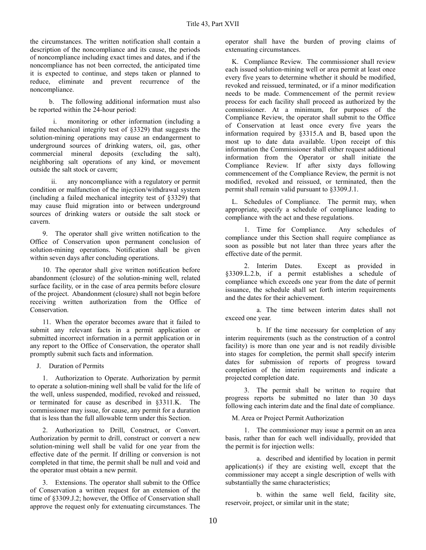the circumstances. The written notification shall contain a description of the noncompliance and its cause, the periods of noncompliance including exact times and dates, and if the noncompliance has not been corrected, the anticipated time it is expected to continue, and steps taken or planned to reduce, eliminate and prevent recurrence of the noncompliance.

b. The following additional information must also be reported within the 24-hour period:

i. monitoring or other information (including a failed mechanical integrity test of §3329) that suggests the solution-mining operations may cause an endangerment to underground sources of drinking waters, oil, gas, other commercial mineral deposits (excluding the salt), neighboring salt operations of any kind, or movement outside the salt stock or cavern;

ii. any noncompliance with a regulatory or permit condition or malfunction of the injection/withdrawal system (including a failed mechanical integrity test of §3329) that may cause fluid migration into or between underground sources of drinking waters or outside the salt stock or cavern.

9. The operator shall give written notification to the Office of Conservation upon permanent conclusion of solution-mining operations. Notification shall be given within seven days after concluding operations.

10. The operator shall give written notification before abandonment (closure) of the solution-mining well, related surface facility, or in the case of area permits before closure of the project. Abandonment (closure) shall not begin before receiving written authorization from the Office of Conservation.

11. When the operator becomes aware that it failed to submit any relevant facts in a permit application or submitted incorrect information in a permit application or in any report to the Office of Conservation, the operator shall promptly submit such facts and information.

J. Duration of Permits

1. Authorization to Operate. Authorization by permit to operate a solution-mining well shall be valid for the life of the well, unless suspended, modified, revoked and reissued, or terminated for cause as described in §3311.K. The commissioner may issue, for cause, any permit for a duration that is less than the full allowable term under this Section.

2. Authorization to Drill, Construct, or Convert. Authorization by permit to drill, construct or convert a new solution-mining well shall be valid for one year from the effective date of the permit. If drilling or conversion is not completed in that time, the permit shall be null and void and the operator must obtain a new permit.

3. Extensions. The operator shall submit to the Office of Conservation a written request for an extension of the time of §3309.J.2; however, the Office of Conservation shall approve the request only for extenuating circumstances. The

operator shall have the burden of proving claims of extenuating circumstances.

K. Compliance Review. The commissioner shall review each issued solution-mining well or area permit at least once every five years to determine whether it should be modified, revoked and reissued, terminated, or if a minor modification needs to be made. Commencement of the permit review process for each facility shall proceed as authorized by the commissioner. At a minimum, for purposes of the Compliance Review, the operator shall submit to the Office of Conservation at least once every five years the information required by §3315.A and B, based upon the most up to date data available. Upon receipt of this information the Commissioner shall either request additional information from the Operator or shall initiate the Compliance Review. If after sixty days following commencement of the Compliance Review, the permit is not modified, revoked and reissued, or terminated, then the permit shall remain valid pursuant to §3309.J.1.

L. Schedules of Compliance. The permit may, when appropriate, specify a schedule of compliance leading to compliance with the act and these regulations.

1. Time for Compliance. Any schedules of compliance under this Section shall require compliance as soon as possible but not later than three years after the effective date of the permit.

2. Interim Dates. Except as provided in §3309.L.2.b, if a permit establishes a schedule of compliance which exceeds one year from the date of permit issuance, the schedule shall set forth interim requirements and the dates for their achievement.

a. The time between interim dates shall not exceed one year.

b. If the time necessary for completion of any interim requirements (such as the construction of a control facility) is more than one year and is not readily divisible into stages for completion, the permit shall specify interim dates for submission of reports of progress toward completion of the interim requirements and indicate a projected completion date.

3. The permit shall be written to require that progress reports be submitted no later than 30 days following each interim date and the final date of compliance.

M. Area or Project Permit Authorization

1. The commissioner may issue a permit on an area basis, rather than for each well individually, provided that the permit is for injection wells:

a. described and identified by location in permit application(s) if they are existing well, except that the commissioner may accept a single description of wells with substantially the same characteristics;

b. within the same well field, facility site, reservoir, project, or similar unit in the state;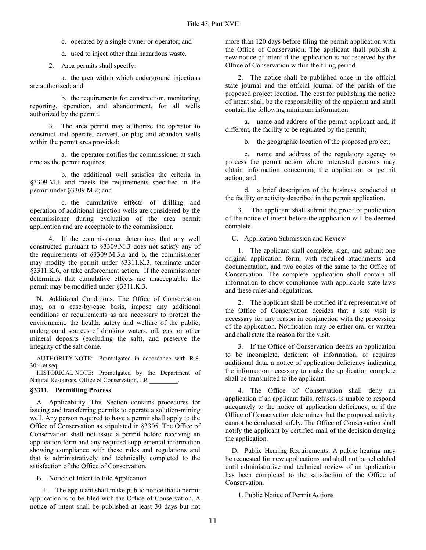c. operated by a single owner or operator; and

d. used to inject other than hazardous waste.

2. Area permits shall specify:

a. the area within which underground injections are authorized; and

b. the requirements for construction, monitoring, reporting, operation, and abandonment, for all wells authorized by the permit.

3. The area permit may authorize the operator to construct and operate, convert, or plug and abandon wells within the permit area provided:

a. the operator notifies the commissioner at such time as the permit requires;

b. the additional well satisfies the criteria in §3309.M.1 and meets the requirements specified in the permit under §3309.M.2; and

c. the cumulative effects of drilling and operation of additional injection wells are considered by the commissioner during evaluation of the area permit application and are acceptable to the commissioner.

4. If the commissioner determines that any well constructed pursuant to §3309.M.3 does not satisfy any of the requirements of §3309.M.3.a and b, the commissioner may modify the permit under §3311.K.3, terminate under §3311.K.6, or take enforcement action. If the commissioner determines that cumulative effects are unacceptable, the permit may be modified under §3311.K.3.

N. Additional Conditions. The Office of Conservation may, on a case-by-case basis, impose any additional conditions or requirements as are necessary to protect the environment, the health, safety and welfare of the public, underground sources of drinking waters, oil, gas, or other mineral deposits (excluding the salt), and preserve the integrity of the salt dome.

AUTHORITY NOTE: Promulgated in accordance with R.S. 30:4 et seq.

HISTORICAL NOTE: Promulgated by the Department of Natural Resources, Office of Conservation, LR

## **§3311. Permitting Process**

A. Applicability. This Section contains procedures for issuing and transferring permits to operate a solution-mining well. Any person required to have a permit shall apply to the Office of Conservation as stipulated in §3305. The Office of Conservation shall not issue a permit before receiving an application form and any required supplemental information showing compliance with these rules and regulations and that is administratively and technically completed to the satisfaction of the Office of Conservation.

B. Notice of Intent to File Application

1. The applicant shall make public notice that a permit application is to be filed with the Office of Conservation. A notice of intent shall be published at least 30 days but not

more than 120 days before filing the permit application with the Office of Conservation. The applicant shall publish a new notice of intent if the application is not received by the Office of Conservation within the filing period.

2. The notice shall be published once in the official state journal and the official journal of the parish of the proposed project location. The cost for publishing the notice of intent shall be the responsibility of the applicant and shall contain the following minimum information:

a. name and address of the permit applicant and, if different, the facility to be regulated by the permit;

b. the geographic location of the proposed project;

c. name and address of the regulatory agency to process the permit action where interested persons may obtain information concerning the application or permit action; and

d. a brief description of the business conducted at the facility or activity described in the permit application.

3. The applicant shall submit the proof of publication of the notice of intent before the application will be deemed complete.

C. Application Submission and Review

1. The applicant shall complete, sign, and submit one original application form, with required attachments and documentation, and two copies of the same to the Office of Conservation. The complete application shall contain all information to show compliance with applicable state laws and these rules and regulations.

2. The applicant shall be notified if a representative of the Office of Conservation decides that a site visit is necessary for any reason in conjunction with the processing of the application. Notification may be either oral or written and shall state the reason for the visit.

3. If the Office of Conservation deems an application to be incomplete, deficient of information, or requires additional data, a notice of application deficiency indicating the information necessary to make the application complete shall be transmitted to the applicant.

4. The Office of Conservation shall deny an application if an applicant fails, refuses, is unable to respond adequately to the notice of application deficiency, or if the Office of Conservation determines that the proposed activity cannot be conducted safely. The Office of Conservation shall notify the applicant by certified mail of the decision denying the application.

D. Public Hearing Requirements. A public hearing may be requested for new applications and shall not be scheduled until administrative and technical review of an application has been completed to the satisfaction of the Office of Conservation.

1. Public Notice of Permit Actions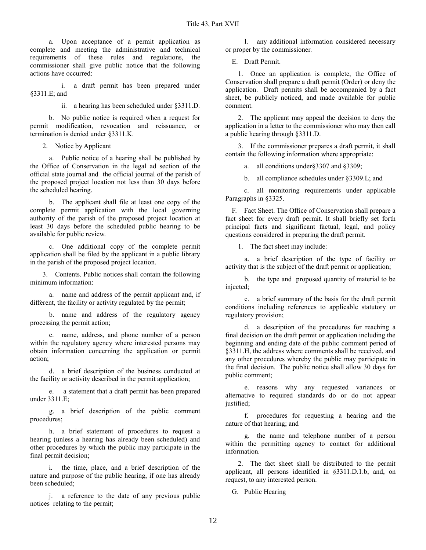a. Upon acceptance of a permit application as complete and meeting the administrative and technical requirements of these rules and regulations, the commissioner shall give public notice that the following actions have occurred:

a draft permit has been prepared under §3311.E; and

ii. a hearing has been scheduled under §3311.D.

b. No public notice is required when a request for permit modification, revocation and reissuance, or termination is denied under §3311.K.

2. Notice by Applicant

a. Public notice of a hearing shall be published by the Office of Conservation in the legal ad section of the official state journal and the official journal of the parish of the proposed project location not less than 30 days before the scheduled hearing.

b. The applicant shall file at least one copy of the complete permit application with the local governing authority of the parish of the proposed project location at least 30 days before the scheduled public hearing to be available for public review.

c. One additional copy of the complete permit application shall be filed by the applicant in a public library in the parish of the proposed project location.

3. Contents. Public notices shall contain the following minimum information:

a. name and address of the permit applicant and, if different, the facility or activity regulated by the permit;

b. name and address of the regulatory agency processing the permit action;

c. name, address, and phone number of a person within the regulatory agency where interested persons may obtain information concerning the application or permit action;

d. a brief description of the business conducted at the facility or activity described in the permit application;

e. a statement that a draft permit has been prepared under 3311.E;

g. a brief description of the public comment procedures;

h. a brief statement of procedures to request a hearing (unless a hearing has already been scheduled) and other procedures by which the public may participate in the final permit decision;

i. the time, place, and a brief description of the nature and purpose of the public hearing, if one has already been scheduled;

j. a reference to the date of any previous public notices relating to the permit;

l. any additional information considered necessary or proper by the commissioner.

E. Draft Permit.

1. Once an application is complete, the Office of Conservation shall prepare a draft permit (Order) or deny the application. Draft permits shall be accompanied by a fact sheet, be publicly noticed, and made available for public comment.

2. The applicant may appeal the decision to deny the application in a letter to the commissioner who may then call a public hearing through §3311.D.

3. If the commissioner prepares a draft permit, it shall contain the following information where appropriate:

a. all conditions under§3307 and §3309;

b. all compliance schedules under §3309.L; and

c. all monitoring requirements under applicable Paragraphs in §3325.

F. Fact Sheet. The Office of Conservation shall prepare a fact sheet for every draft permit. It shall briefly set forth principal facts and significant factual, legal, and policy questions considered in preparing the draft permit.

1. The fact sheet may include:

a. a brief description of the type of facility or activity that is the subject of the draft permit or application;

b. the type and proposed quantity of material to be injected;

c. a brief summary of the basis for the draft permit conditions including references to applicable statutory or regulatory provision;

d. a description of the procedures for reaching a final decision on the draft permit or application including the beginning and ending date of the public comment period of §3311.H, the address where comments shall be received, and any other procedures whereby the public may participate in the final decision. The public notice shall allow 30 days for public comment;

e. reasons why any requested variances or alternative to required standards do or do not appear justified;

f. procedures for requesting a hearing and the nature of that hearing; and

g. the name and telephone number of a person within the permitting agency to contact for additional information.

2. The fact sheet shall be distributed to the permit applicant, all persons identified in §3311.D.1.b, and, on request, to any interested person.

G. Public Hearing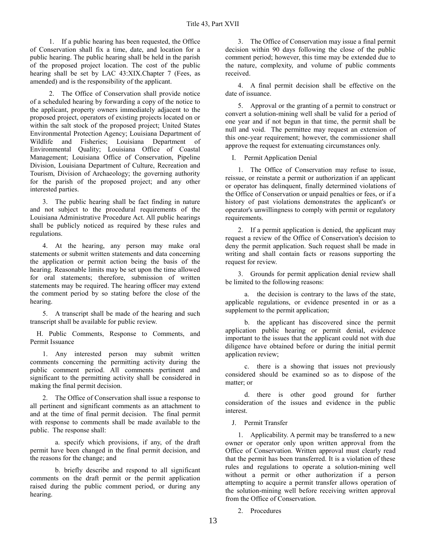1. If a public hearing has been requested, the Office of Conservation shall fix a time, date, and location for a public hearing. The public hearing shall be held in the parish of the proposed project location. The cost of the public hearing shall be set by LAC 43:XIX.Chapter 7 (Fees, as amended) and is the responsibility of the applicant.

2. The Office of Conservation shall provide notice of a scheduled hearing by forwarding a copy of the notice to the applicant, property owners immediately adjacent to the proposed project, operators of existing projects located on or within the salt stock of the proposed project; United States Environmental Protection Agency; Louisiana Department of Wildlife and Fisheries; Louisiana Department of Environmental Quality; Louisiana Office of Coastal Management; Louisiana Office of Conservation, Pipeline Division, Louisiana Department of Culture, Recreation and Tourism, Division of Archaeology; the governing authority for the parish of the proposed project; and any other interested parties.

3. The public hearing shall be fact finding in nature and not subject to the procedural requirements of the Louisiana Administrative Procedure Act. All public hearings shall be publicly noticed as required by these rules and regulations.

4. At the hearing, any person may make oral statements or submit written statements and data concerning the application or permit action being the basis of the hearing. Reasonable limits may be set upon the time allowed for oral statements; therefore, submission of written statements may be required. The hearing officer may extend the comment period by so stating before the close of the hearing.

5. A transcript shall be made of the hearing and such transcript shall be available for public review.

H. Public Comments, Response to Comments, and Permit Issuance

1. Any interested person may submit written comments concerning the permitting activity during the public comment period. All comments pertinent and significant to the permitting activity shall be considered in making the final permit decision.

2. The Office of Conservation shall issue a response to all pertinent and significant comments as an attachment to and at the time of final permit decision. The final permit with response to comments shall be made available to the public. The response shall:

a. specify which provisions, if any, of the draft permit have been changed in the final permit decision, and the reasons for the change; and

b. briefly describe and respond to all significant comments on the draft permit or the permit application raised during the public comment period, or during any hearing.

3. The Office of Conservation may issue a final permit decision within 90 days following the close of the public comment period; however, this time may be extended due to the nature, complexity, and volume of public comments received.

4. A final permit decision shall be effective on the date of issuance.

5. Approval or the granting of a permit to construct or convert a solution-mining well shall be valid for a period of one year and if not begun in that time, the permit shall be null and void. The permittee may request an extension of this one-year requirement; however, the commissioner shall approve the request for extenuating circumstances only.

I. Permit Application Denial

1. The Office of Conservation may refuse to issue, reissue, or reinstate a permit or authorization if an applicant or operator has delinquent, finally determined violations of the Office of Conservation or unpaid penalties or fees, or if a history of past violations demonstrates the applicant's or operator's unwillingness to comply with permit or regulatory requirements.

2. If a permit application is denied, the applicant may request a review of the Office of Conservation's decision to deny the permit application. Such request shall be made in writing and shall contain facts or reasons supporting the request for review.

3. Grounds for permit application denial review shall be limited to the following reasons:

a. the decision is contrary to the laws of the state, applicable regulations, or evidence presented in or as a supplement to the permit application;

b. the applicant has discovered since the permit application public hearing or permit denial, evidence important to the issues that the applicant could not with due diligence have obtained before or during the initial permit application review;

c. there is a showing that issues not previously considered should be examined so as to dispose of the matter; or

d. there is other good ground for further consideration of the issues and evidence in the public interest.

J. Permit Transfer

1. Applicability. A permit may be transferred to a new owner or operator only upon written approval from the Office of Conservation. Written approval must clearly read that the permit has been transferred. It is a violation of these rules and regulations to operate a solution-mining well without a permit or other authorization if a person attempting to acquire a permit transfer allows operation of the solution-mining well before receiving written approval from the Office of Conservation.

2. Procedures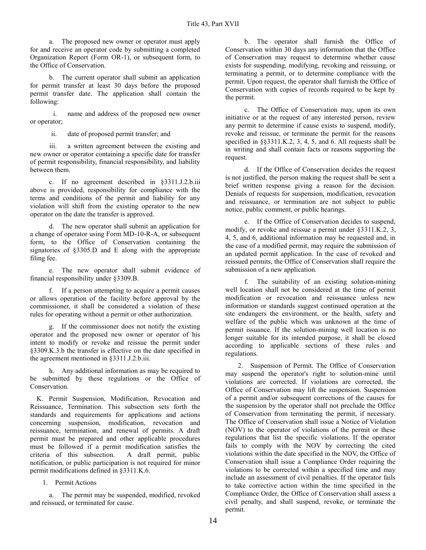a. The proposed new owner or operator must apply for and receive an operator code by submitting a completed Organization Report (Form OR-1), or subsequent form, to the Office of Conservation.

b. The current operator shall submit an application for permit transfer at least 30 days before the proposed permit transfer date. The application shall contain the following:

i. name and address of the proposed new owner or operator;

ii. date of proposed permit transfer; and

iii. a written agreement between the existing and new owner or operator containing a specific date for transfer of permit responsibility, financial responsibility, and liability between them.

c. If no agreement described in §3311.J.2.b.iii above is provided, responsibility for compliance with the terms and conditions of the permit and liability for any violation will shift from the existing operator to the new operator on the date the transfer is approved.

d. The new operator shall submit an application for a change of operator using Form MD-10-R-A, or subsequent form, to the Office of Conservation containing the signatories of §3305.D and E along with the appropriate filing fee.

e. The new operator shall submit evidence of financial responsibility under §3309.B.

f. If a person attempting to acquire a permit causes or allows operation of the facility before approval by the commissioner, it shall be considered a violation of these rules for operating without a permit or other authorization.

g. If the commissioner does not notify the existing operator and the proposed new owner or operator of his intent to modify or revoke and reissue the permit under §3309.K.3.b the transfer is effective on the date specified in the agreement mentioned in §3311.J.2.b.iii.

h. Any additional information as may be required to be submitted by these regulations or the Office of Conservation.

K. Permit Suspension, Modification, Revocation and Reissuance, Termination. This subsection sets forth the standards and requirements for applications and actions concerning suspension, modification, revocation and reissuance, termination, and renewal of permits. A draft permit must be prepared and other applicable procedures must be followed if a permit modification satisfies the criteria of this subsection. A draft permit, public notification, or public participation is not required for minor permit modifications defined in §3311.K.6.

1. Permit Actions

a. The permit may be suspended, modified, revoked and reissued, or terminated for cause.

b. The operator shall furnish the Office of Conservation within 30 days any information that the Office of Conservation may request to determine whether cause exists for suspending, modifying, revoking and reissuing, or terminating a permit, or to determine compliance with the permit. Upon request, the operator shall furnish the Office of Conservation with copies of records required to be kept by the permit.

c. The Office of Conservation may, upon its own initiative or at the request of any interested person, review any permit to determine if cause exists to suspend, modify, revoke and reissue, or terminate the permit for the reasons specified in §§3311.K.2, 3, 4, 5, and 6. All requests shall be in writing and shall contain facts or reasons supporting the request.

d. If the Office of Conservation decides the request is not justified, the person making the request shall be sent a brief written response giving a reason for the decision. Denials of requests for suspension, modification, revocation and reissuance, or termination are not subject to public notice, public comment, or public hearings.

e. If the Office of Conservation decides to suspend, modify, or revoke and reissue a permit under §3311.K.2, 3, 4, 5, and 6, additional information may be requested and, in the case of a modified permit, may require the submission of an updated permit application. In the case of revoked and reissued permits, the Office of Conservation shall require the submission of a new application.

f. The suitability of an existing solution-mining well location shall not be considered at the time of permit modification or revocation and reissuance unless new information or standards suggest continued operation at the site endangers the environment, or the health, safety and welfare of the public which was unknown at the time of permit issuance. If the solution-mining well location is no longer suitable for its intended purpose, it shall be closed according to applicable sections of these rules and regulations.

2. Suspension of Permit. The Office of Conservation may suspend the operator's right to solution-mine until violations are corrected. If violations are corrected, the Office of Conservation may lift the suspension. Suspension of a permit and/or subsequent corrections of the causes for the suspension by the operator shall not preclude the Office of Conservation from terminating the permit, if necessary. The Office of Conservation shall issue a Notice of Violation (NOV) to the operator of violations of the permit or these regulations that list the specific violations. If the operator fails to comply with the NOV by correcting the cited violations within the date specified in the NOV, the Office of Conservation shall issue a Compliance Order requiring the violations to be corrected within a specified time and may include an assessment of civil penalties. If the operator fails to take corrective action within the time specified in the Compliance Order, the Office of Conservation shall assess a civil penalty, and shall suspend, revoke, or terminate the permit.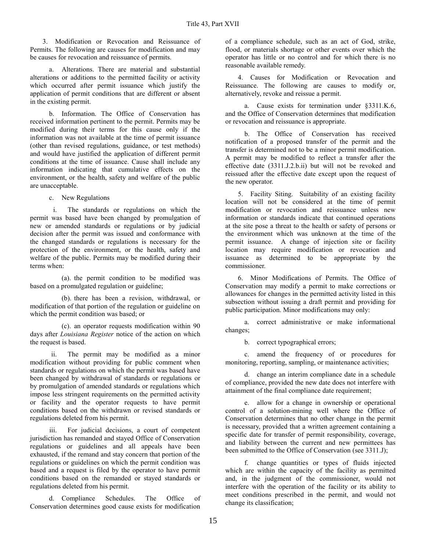3. Modification or Revocation and Reissuance of Permits. The following are causes for modification and may be causes for revocation and reissuance of permits.

a. Alterations. There are material and substantial alterations or additions to the permitted facility or activity which occurred after permit issuance which justify the application of permit conditions that are different or absent in the existing permit.

b. Information. The Office of Conservation has received information pertinent to the permit. Permits may be modified during their terms for this cause only if the information was not available at the time of permit issuance (other than revised regulations, guidance, or test methods) and would have justified the application of different permit conditions at the time of issuance. Cause shall include any information indicating that cumulative effects on the environment, or the health, safety and welfare of the public are unacceptable.

c. New Regulations

i. The standards or regulations on which the permit was based have been changed by promulgation of new or amended standards or regulations or by judicial decision after the permit was issued and conformance with the changed standards or regulations is necessary for the protection of the environment, or the health, safety and welfare of the public. Permits may be modified during their terms when:

(a). the permit condition to be modified was based on a promulgated regulation or guideline;

(b). there has been a revision, withdrawal, or modification of that portion of the regulation or guideline on which the permit condition was based; or

(c). an operator requests modification within 90 days after *Louisiana Register* notice of the action on which the request is based.

ii. The permit may be modified as a minor modification without providing for public comment when standards or regulations on which the permit was based have been changed by withdrawal of standards or regulations or by promulgation of amended standards or regulations which impose less stringent requirements on the permitted activity or facility and the operator requests to have permit conditions based on the withdrawn or revised standards or regulations deleted from his permit.

iii. For judicial decisions, a court of competent jurisdiction has remanded and stayed Office of Conservation regulations or guidelines and all appeals have been exhausted, if the remand and stay concern that portion of the regulations or guidelines on which the permit condition was based and a request is filed by the operator to have permit conditions based on the remanded or stayed standards or regulations deleted from his permit.

d. Compliance Schedules. The Office of Conservation determines good cause exists for modification

of a compliance schedule, such as an act of God, strike, flood, or materials shortage or other events over which the operator has little or no control and for which there is no reasonable available remedy.

4. Causes for Modification or Revocation and Reissuance. The following are causes to modify or, alternatively, revoke and reissue a permit.

a. Cause exists for termination under §3311.K.6, and the Office of Conservation determines that modification or revocation and reissuance is appropriate.

b. The Office of Conservation has received notification of a proposed transfer of the permit and the transfer is determined not to be a minor permit modification. A permit may be modified to reflect a transfer after the effective date (3311.J.2.b.ii) but will not be revoked and reissued after the effective date except upon the request of the new operator.

5. Facility Siting. Suitability of an existing facility location will not be considered at the time of permit modification or revocation and reissuance unless new information or standards indicate that continued operations at the site pose a threat to the health or safety of persons or the environment which was unknown at the time of the permit issuance. A change of injection site or facility location may require modification or revocation and issuance as determined to be appropriate by the commissioner.

6. Minor Modifications of Permits. The Office of Conservation may modify a permit to make corrections or allowances for changes in the permitted activity listed in this subsection without issuing a draft permit and providing for public participation. Minor modifications may only:

a. correct administrative or make informational changes;

b. correct typographical errors;

c. amend the frequency of or procedures for monitoring, reporting, sampling, or maintenance activities;

d. change an interim compliance date in a schedule of compliance, provided the new date does not interfere with attainment of the final compliance date requirement;

e. allow for a change in ownership or operational control of a solution-mining well where the Office of Conservation determines that no other change in the permit is necessary, provided that a written agreement containing a specific date for transfer of permit responsibility, coverage, and liability between the current and new permittees has been submitted to the Office of Conservation (see 3311.J);

f. change quantities or types of fluids injected which are within the capacity of the facility as permitted and, in the judgment of the commissioner, would not interfere with the operation of the facility or its ability to meet conditions prescribed in the permit, and would not change its classification;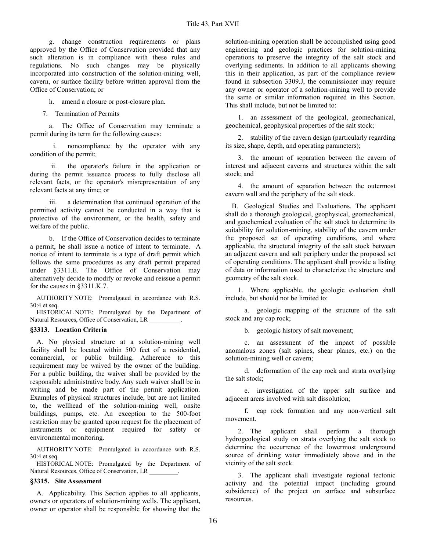g. change construction requirements or plans approved by the Office of Conservation provided that any such alteration is in compliance with these rules and regulations. No such changes may be physically incorporated into construction of the solution-mining well, cavern, or surface facility before written approval from the Office of Conservation; or

h. amend a closure or post-closure plan.

7. Termination of Permits

a. The Office of Conservation may terminate a permit during its term for the following causes:

i. noncompliance by the operator with any condition of the permit;

ii. the operator's failure in the application or during the permit issuance process to fully disclose all relevant facts, or the operator's misrepresentation of any relevant facts at any time; or

iii. a determination that continued operation of the permitted activity cannot be conducted in a way that is protective of the environment, or the health, safety and welfare of the public.

b. If the Office of Conservation decides to terminate a permit, he shall issue a notice of intent to terminate. A notice of intent to terminate is a type of draft permit which follows the same procedures as any draft permit prepared under §3311.E. The Office of Conservation may alternatively decide to modify or revoke and reissue a permit for the causes in §3311.K.7.

AUTHORITY NOTE: Promulgated in accordance with R.S. 30:4 et seq.

HISTORICAL NOTE: Promulgated by the Department of Natural Resources, Office of Conservation, LR

#### **§3313. Location Criteria**

A. No physical structure at a solution-mining well facility shall be located within 500 feet of a residential, commercial, or public building. Adherence to this requirement may be waived by the owner of the building. For a public building, the waiver shall be provided by the responsible administrative body. Any such waiver shall be in writing and be made part of the permit application. Examples of physical structures include, but are not limited to, the wellhead of the solution-mining well, onsite buildings, pumps, etc. An exception to the 500-foot restriction may be granted upon request for the placement of instruments or equipment required for safety or environmental monitoring.

AUTHORITY NOTE: Promulgated in accordance with R.S. 30:4 et seq.

HISTORICAL NOTE: Promulgated by the Department of Natural Resources, Office of Conservation, LR \_\_\_\_\_\_\_\_\_.

# **§3315. Site Assessment**

A. Applicability. This Section applies to all applicants, owners or operators of solution-mining wells. The applicant, owner or operator shall be responsible for showing that the solution-mining operation shall be accomplished using good engineering and geologic practices for solution-mining operations to preserve the integrity of the salt stock and overlying sediments. In addition to all applicants showing this in their application, as part of the compliance review found in subsection 3309.J, the commissioner may require any owner or operator of a solution-mining well to provide the same or similar information required in this Section. This shall include, but not be limited to:

1. an assessment of the geological, geomechanical, geochemical, geophysical properties of the salt stock;

2. stability of the cavern design (particularly regarding its size, shape, depth, and operating parameters);

3. the amount of separation between the cavern of interest and adjacent caverns and structures within the salt stock; and

4. the amount of separation between the outermost cavern wall and the periphery of the salt stock.

B. Geological Studies and Evaluations. The applicant shall do a thorough geological, geophysical, geomechanical, and geochemical evaluation of the salt stock to determine its suitability for solution-mining, stability of the cavern under the proposed set of operating conditions, and where applicable, the structural integrity of the salt stock between an adjacent cavern and salt periphery under the proposed set of operating conditions. The applicant shall provide a listing of data or information used to characterize the structure and geometry of the salt stock.

1. Where applicable, the geologic evaluation shall include, but should not be limited to:

a. geologic mapping of the structure of the salt stock and any cap rock;

b. geologic history of salt movement;

c. an assessment of the impact of possible anomalous zones (salt spines, shear planes, etc.) on the solution-mining well or cavern;

d. deformation of the cap rock and strata overlying the salt stock;

e. investigation of the upper salt surface and adjacent areas involved with salt dissolution;

f. cap rock formation and any non-vertical salt movement.

2. The applicant shall perform a thorough hydrogeological study on strata overlying the salt stock to determine the occurrence of the lowermost underground source of drinking water immediately above and in the vicinity of the salt stock.

3. The applicant shall investigate regional tectonic activity and the potential impact (including ground subsidence) of the project on surface and subsurface resources.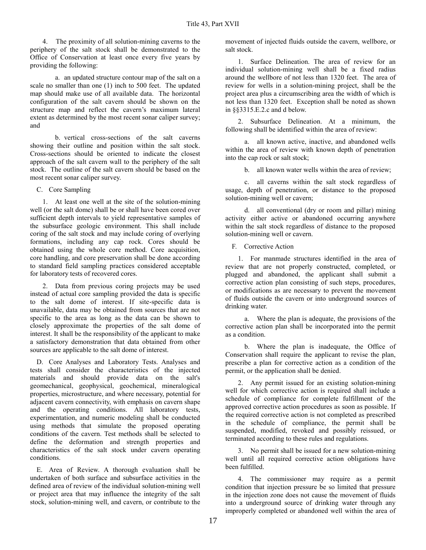4. The proximity of all solution-mining caverns to the periphery of the salt stock shall be demonstrated to the Office of Conservation at least once every five years by providing the following:

a. an updated structure contour map of the salt on a scale no smaller than one (1) inch to 500 feet. The updated map should make use of all available data. The horizontal configuration of the salt cavern should be shown on the structure map and reflect the cavern's maximum lateral extent as determined by the most recent sonar caliper survey; and

b. vertical cross-sections of the salt caverns showing their outline and position within the salt stock. Cross-sections should be oriented to indicate the closest approach of the salt cavern wall to the periphery of the salt stock. The outline of the salt cavern should be based on the most recent sonar caliper survey.

C. Core Sampling

1. At least one well at the site of the solution-mining well (or the salt dome) shall be or shall have been cored over sufficient depth intervals to yield representative samples of the subsurface geologic environment. This shall include coring of the salt stock and may include coring of overlying formations, including any cap rock. Cores should be obtained using the whole core method. Core acquisition, core handling, and core preservation shall be done according to standard field sampling practices considered acceptable for laboratory tests of recovered cores.

2. Data from previous coring projects may be used instead of actual core sampling provided the data is specific to the salt dome of interest. If site-specific data is unavailable, data may be obtained from sources that are not specific to the area as long as the data can be shown to closely approximate the properties of the salt dome of interest. It shall be the responsibility of the applicant to make a satisfactory demonstration that data obtained from other sources are applicable to the salt dome of interest.

D. Core Analyses and Laboratory Tests. Analyses and tests shall consider the characteristics of the injected materials and should provide data on the salt's geomechanical, geophysical, geochemical, mineralogical properties, microstructure, and where necessary, potential for adjacent cavern connectivity, with emphasis on cavern shape and the operating conditions. All laboratory tests, experimentation, and numeric modeling shall be conducted using methods that simulate the proposed operating conditions of the cavern. Test methods shall be selected to define the deformation and strength properties and characteristics of the salt stock under cavern operating conditions.

E. Area of Review. A thorough evaluation shall be undertaken of both surface and subsurface activities in the defined area of review of the individual solution-mining well or project area that may influence the integrity of the salt stock, solution-mining well, and cavern, or contribute to the movement of injected fluids outside the cavern, wellbore, or salt stock.

1. Surface Delineation. The area of review for an individual solution-mining well shall be a fixed radius around the wellbore of not less than 1320 feet. The area of review for wells in a solution-mining project, shall be the project area plus a circumscribing area the width of which is not less than 1320 feet. Exception shall be noted as shown in §§3315.E.2.c and d below.

2. Subsurface Delineation. At a minimum, the following shall be identified within the area of review:

a. all known active, inactive, and abandoned wells within the area of review with known depth of penetration into the cap rock or salt stock;

b. all known water wells within the area of review;

c. all caverns within the salt stock regardless of usage, depth of penetration, or distance to the proposed solution-mining well or cavern;

d. all conventional (dry or room and pillar) mining activity either active or abandoned occurring anywhere within the salt stock regardless of distance to the proposed solution-mining well or cavern.

F. Corrective Action

1. For manmade structures identified in the area of review that are not properly constructed, completed, or plugged and abandoned, the applicant shall submit a corrective action plan consisting of such steps, procedures, or modifications as are necessary to prevent the movement of fluids outside the cavern or into underground sources of drinking water.

a. Where the plan is adequate, the provisions of the corrective action plan shall be incorporated into the permit as a condition.

b. Where the plan is inadequate, the Office of Conservation shall require the applicant to revise the plan, prescribe a plan for corrective action as a condition of the permit, or the application shall be denied.

2. Any permit issued for an existing solution-mining well for which corrective action is required shall include a schedule of compliance for complete fulfillment of the approved corrective action procedures as soon as possible. If the required corrective action is not completed as prescribed in the schedule of compliance, the permit shall be suspended, modified, revoked and possibly reissued, or terminated according to these rules and regulations.

3. No permit shall be issued for a new solution-mining well until all required corrective action obligations have been fulfilled.

4. The commissioner may require as a permit condition that injection pressure be so limited that pressure in the injection zone does not cause the movement of fluids into a underground source of drinking water through any improperly completed or abandoned well within the area of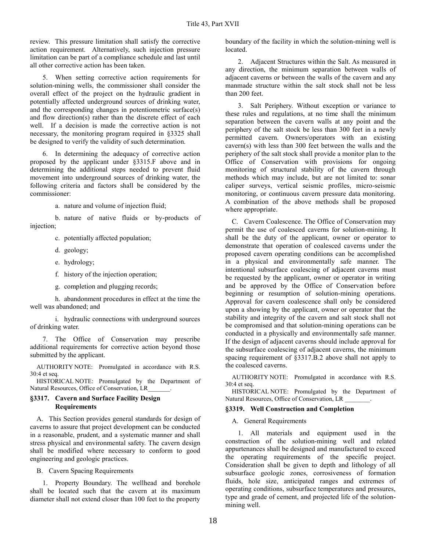review. This pressure limitation shall satisfy the corrective action requirement. Alternatively, such injection pressure limitation can be part of a compliance schedule and last until all other corrective action has been taken.

5. When setting corrective action requirements for solution-mining wells, the commissioner shall consider the overall effect of the project on the hydraulic gradient in potentially affected underground sources of drinking water, and the corresponding changes in potentiometric surface(s) and flow direction(s) rather than the discrete effect of each well. If a decision is made the corrective action is not necessary, the monitoring program required in §3325 shall be designed to verify the validity of such determination.

6. In determining the adequacy of corrective action proposed by the applicant under §3315.F above and in determining the additional steps needed to prevent fluid movement into underground sources of drinking water, the following criteria and factors shall be considered by the commissioner:

a. nature and volume of injection fluid;

b. nature of native fluids or by-products of injection;

c. potentially affected population;

- d. geology;
- e. hydrology;
- f. history of the injection operation;
- g. completion and plugging records;

h. abandonment procedures in effect at the time the well was abandoned; and

i. hydraulic connections with underground sources of drinking water.

7. The Office of Conservation may prescribe additional requirements for corrective action beyond those submitted by the applicant.

AUTHORITY NOTE: Promulgated in accordance with R.S. 30:4 et seq.

HISTORICAL NOTE: Promulgated by the Department of Natural Resources, Office of Conservation, LR\_\_\_\_\_\_\_.

## **§3317. Cavern and Surface Facility Design Requirements**

A. This Section provides general standards for design of caverns to assure that project development can be conducted in a reasonable, prudent, and a systematic manner and shall stress physical and environmental safety. The cavern design shall be modified where necessary to conform to good engineering and geologic practices.

B. Cavern Spacing Requirements

1. Property Boundary. The wellhead and borehole shall be located such that the cavern at its maximum diameter shall not extend closer than 100 feet to the property boundary of the facility in which the solution-mining well is located.

2. Adjacent Structures within the Salt. As measured in any direction, the minimum separation between walls of adjacent caverns or between the walls of the cavern and any manmade structure within the salt stock shall not be less than 200 feet.

3. Salt Periphery. Without exception or variance to these rules and regulations, at no time shall the minimum separation between the cavern walls at any point and the periphery of the salt stock be less than 300 feet in a newly permitted cavern. Owners/operators with an existing cavern(s) with less than 300 feet between the walls and the periphery of the salt stock shall provide a monitor plan to the Office of Conservation with provisions for ongoing monitoring of structural stability of the cavern through methods which may include, but are not limited to: sonar caliper surveys, vertical seismic profiles, micro-seismic monitoring, or continuous cavern pressure data monitoring. A combination of the above methods shall be proposed where appropriate.

C. Cavern Coalescence. The Office of Conservation may permit the use of coalesced caverns for solution-mining. It shall be the duty of the applicant, owner or operator to demonstrate that operation of coalesced caverns under the proposed cavern operating conditions can be accomplished in a physical and environmentally safe manner. The intentional subsurface coalescing of adjacent caverns must be requested by the applicant, owner or operator in writing and be approved by the Office of Conservation before beginning or resumption of solution-mining operations. Approval for cavern coalescence shall only be considered upon a showing by the applicant, owner or operator that the stability and integrity of the cavern and salt stock shall not be compromised and that solution-mining operations can be conducted in a physically and environmentally safe manner. If the design of adjacent caverns should include approval for the subsurface coalescing of adjacent caverns, the minimum spacing requirement of §3317.B.2 above shall not apply to the coalesced caverns.

AUTHORITY NOTE: Promulgated in accordance with R.S. 30:4 et seq.

HISTORICAL NOTE: Promulgated by the Department of Natural Resources, Office of Conservation, LR \_\_\_\_\_\_\_\_.

## **§3319. Well Construction and Completion**

A. General Requirements

1. All materials and equipment used in the construction of the solution-mining well and related appurtenances shall be designed and manufactured to exceed the operating requirements of the specific project. Consideration shall be given to depth and lithology of all subsurface geologic zones, corrosiveness of formation fluids, hole size, anticipated ranges and extremes of operating conditions, subsurface temperatures and pressures, type and grade of cement, and projected life of the solutionmining well.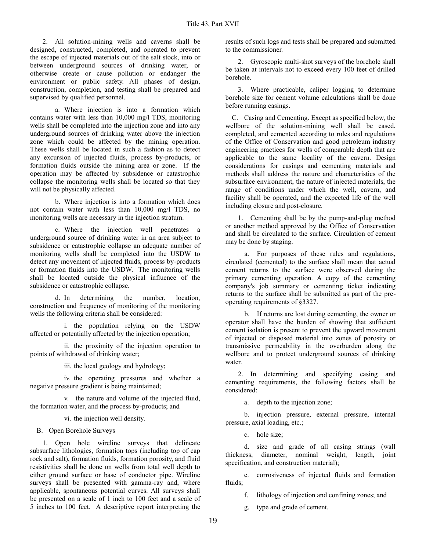2. All solution-mining wells and caverns shall be designed, constructed, completed, and operated to prevent the escape of injected materials out of the salt stock, into or between underground sources of drinking water, or otherwise create or cause pollution or endanger the environment or public safety. All phases of design, construction, completion, and testing shall be prepared and supervised by qualified personnel.

a. Where injection is into a formation which contains water with less than 10,000 mg/l TDS, monitoring wells shall be completed into the injection zone and into any underground sources of drinking water above the injection zone which could be affected by the mining operation. These wells shall be located in such a fashion as to detect any excursion of injected fluids, process by-products, or formation fluids outside the mining area or zone. If the operation may be affected by subsidence or catastrophic collapse the monitoring wells shall be located so that they will not be physically affected.

b. Where injection is into a formation which does not contain water with less than 10,000 mg/l TDS, no monitoring wells are necessary in the injection stratum.

c. Where the injection well penetrates a underground source of drinking water in an area subject to subsidence or catastrophic collapse an adequate number of monitoring wells shall be completed into the USDW to detect any movement of injected fluids, process by-products or formation fluids into the USDW. The monitoring wells shall be located outside the physical influence of the subsidence or catastrophic collapse.

d. In determining the number, location, construction and frequency of monitoring of the monitoring wells the following criteria shall be considered:

i. the population relying on the USDW affected or potentially affected by the injection operation;

ii. the proximity of the injection operation to points of withdrawal of drinking water;

iii. the local geology and hydrology;

iv. the operating pressures and whether a negative pressure gradient is being maintained;

v. the nature and volume of the injected fluid, the formation water, and the process by-products; and

vi. the injection well density.

B. Open Borehole Surveys

1. Open hole wireline surveys that delineate subsurface lithologies, formation tops (including top of cap rock and salt), formation fluids, formation porosity, and fluid resistivities shall be done on wells from total well depth to either ground surface or base of conductor pipe. Wireline surveys shall be presented with gamma-ray and, where applicable, spontaneous potential curves. All surveys shall be presented on a scale of 1 inch to 100 feet and a scale of 5 inches to 100 feet. A descriptive report interpreting the

results of such logs and tests shall be prepared and submitted to the commissioner.

2. Gyroscopic multi-shot surveys of the borehole shall be taken at intervals not to exceed every 100 feet of drilled borehole.

3. Where practicable, caliper logging to determine borehole size for cement volume calculations shall be done before running casings.

C. Casing and Cementing. Except as specified below, the wellbore of the solution-mining well shall be cased, completed, and cemented according to rules and regulations of the Office of Conservation and good petroleum industry engineering practices for wells of comparable depth that are applicable to the same locality of the cavern. Design considerations for casings and cementing materials and methods shall address the nature and characteristics of the subsurface environment, the nature of injected materials, the range of conditions under which the well, cavern, and facility shall be operated, and the expected life of the well including closure and post-closure.

1. Cementing shall be by the pump-and-plug method or another method approved by the Office of Conservation and shall be circulated to the surface. Circulation of cement may be done by staging.

a. For purposes of these rules and regulations, circulated (cemented) to the surface shall mean that actual cement returns to the surface were observed during the primary cementing operation. A copy of the cementing company's job summary or cementing ticket indicating returns to the surface shall be submitted as part of the preoperating requirements of §3327.

b. If returns are lost during cementing, the owner or operator shall have the burden of showing that sufficient cement isolation is present to prevent the upward movement of injected or disposed material into zones of porosity or transmissive permeability in the overburden along the wellbore and to protect underground sources of drinking water.

2. In determining and specifying casing and cementing requirements, the following factors shall be considered:

a. depth to the injection zone;

b. injection pressure, external pressure, internal pressure, axial loading, etc.;

c. hole size;

d. size and grade of all casing strings (wall thickness, diameter, nominal weight, length, joint specification, and construction material);

e. corrosiveness of injected fluids and formation fluids:

f. lithology of injection and confining zones; and

g. type and grade of cement.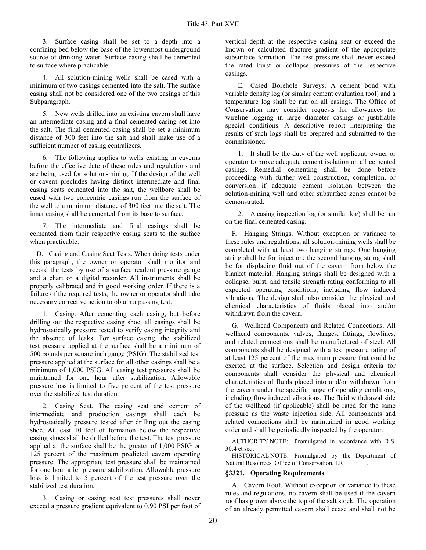3. Surface casing shall be set to a depth into a confining bed below the base of the lowermost underground source of drinking water. Surface casing shall be cemented to surface where practicable.

4. All solution-mining wells shall be cased with a minimum of two casings cemented into the salt. The surface casing shall not be considered one of the two casings of this Subparagraph.

5. New wells drilled into an existing cavern shall have an intermediate casing and a final cemented casing set into the salt. The final cemented casing shall be set a minimum distance of 300 feet into the salt and shall make use of a sufficient number of casing centralizers.

6. The following applies to wells existing in caverns before the effective date of these rules and regulations and are being used for solution-mining. If the design of the well or cavern precludes having distinct intermediate and final casing seats cemented into the salt, the wellbore shall be cased with two concentric casings run from the surface of the well to a minimum distance of 300 feet into the salt. The inner casing shall be cemented from its base to surface.

7. The intermediate and final casings shall be cemented from their respective casing seats to the surface when practicable.

D. Casing and Casing Seat Tests. When doing tests under this paragraph, the owner or operator shall monitor and record the tests by use of a surface readout pressure gauge and a chart or a digital recorder. All instruments shall be properly calibrated and in good working order. If there is a failure of the required tests, the owner or operator shall take necessary corrective action to obtain a passing test.

1. Casing. After cementing each casing, but before drilling out the respective casing shoe, all casings shall be hydrostatically pressure tested to verify casing integrity and the absence of leaks. For surface casing, the stabilized test pressure applied at the surface shall be a minimum of 500 pounds per square inch gauge (PSIG). The stabilized test pressure applied at the surface for all other casings shall be a minimum of 1,000 PSIG. All casing test pressures shall be maintained for one hour after stabilization. Allowable pressure loss is limited to five percent of the test pressure over the stabilized test duration.

2. Casing Seat. The casing seat and cement of intermediate and production casings shall each be hydrostatically pressure tested after drilling out the casing shoe. At least 10 feet of formation below the respective casing shoes shall be drilled before the test. The test pressure applied at the surface shall be the greater of 1,000 PSIG or 125 percent of the maximum predicted cavern operating pressure. The appropriate test pressure shall be maintained for one hour after pressure stabilization. Allowable pressure loss is limited to 5 percent of the test pressure over the stabilized test duration.

3. Casing or casing seat test pressures shall never exceed a pressure gradient equivalent to 0.90 PSI per foot of vertical depth at the respective casing seat or exceed the known or calculated fracture gradient of the appropriate subsurface formation. The test pressure shall never exceed the rated burst or collapse pressures of the respective casings.

E. Cased Borehole Surveys. A cement bond with variable density log (or similar cement evaluation tool) and a temperature log shall be run on all casings. The Office of Conservation may consider requests for allowances for wireline logging in large diameter casings or justifiable special conditions. A descriptive report interpreting the results of such logs shall be prepared and submitted to the commissioner.

1. It shall be the duty of the well applicant, owner or operator to prove adequate cement isolation on all cemented casings. Remedial cementing shall be done before proceeding with further well construction, completion, or conversion if adequate cement isolation between the solution-mining well and other subsurface zones cannot be demonstrated.

2. A casing inspection log (or similar log) shall be run on the final cemented casing.

F. Hanging Strings. Without exception or variance to these rules and regulations, all solution-mining wells shall be completed with at least two hanging strings. One hanging string shall be for injection; the second hanging string shall be for displacing fluid out of the cavern from below the blanket material. Hanging strings shall be designed with a collapse, burst, and tensile strength rating conforming to all expected operating conditions, including flow induced vibrations. The design shall also consider the physical and chemical characteristics of fluids placed into and/or withdrawn from the cavern.

G. Wellhead Components and Related Connections. All wellhead components, valves, flanges, fittings, flowlines, and related connections shall be manufactured of steel. All components shall be designed with a test pressure rating of at least 125 percent of the maximum pressure that could be exerted at the surface. Selection and design criteria for components shall consider the physical and chemical characteristics of fluids placed into and/or withdrawn from the cavern under the specific range of operating conditions, including flow induced vibrations. The fluid withdrawal side of the wellhead (if applicable) shall be rated for the same pressure as the waste injection side. All components and related connections shall be maintained in good working order and shall be periodically inspected by the operator.

AUTHORITY NOTE: Promulgated in accordance with R.S. 30:4 et seq.

HISTORICAL NOTE: Promulgated by the Department of Natural Resources, Office of Conservation, LR \_\_\_\_\_\_\_.

## **§3321. Operating Requirements**

A. Cavern Roof. Without exception or variance to these rules and regulations, no cavern shall be used if the cavern roof has grown above the top of the salt stock. The operation of an already permitted cavern shall cease and shall not be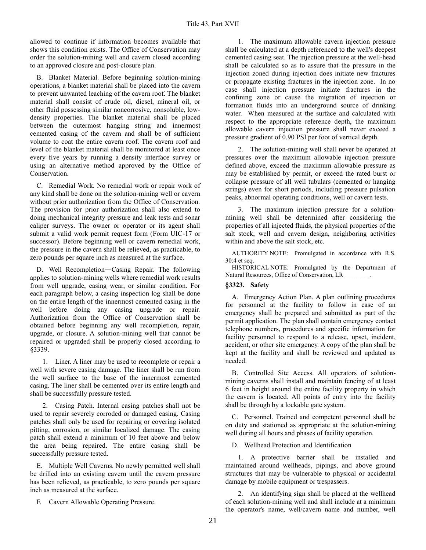allowed to continue if information becomes available that shows this condition exists. The Office of Conservation may order the solution-mining well and cavern closed according to an approved closure and post-closure plan.

B. Blanket Material. Before beginning solution-mining operations, a blanket material shall be placed into the cavern to prevent unwanted leaching of the cavern roof. The blanket material shall consist of crude oil, diesel, mineral oil, or other fluid possessing similar noncorrosive, nonsoluble, lowdensity properties. The blanket material shall be placed between the outermost hanging string and innermost cemented casing of the cavern and shall be of sufficient volume to coat the entire cavern roof. The cavern roof and level of the blanket material shall be monitored at least once every five years by running a density interface survey or using an alternative method approved by the Office of Conservation.

C. Remedial Work. No remedial work or repair work of any kind shall be done on the solution-mining well or cavern without prior authorization from the Office of Conservation. The provision for prior authorization shall also extend to doing mechanical integrity pressure and leak tests and sonar caliper surveys. The owner or operator or its agent shall submit a valid work permit request form (Form UIC-17 or successor). Before beginning well or cavern remedial work, the pressure in the cavern shall be relieved, as practicable, to zero pounds per square inch as measured at the surface.

D. Well Recompletion―Casing Repair. The following applies to solution-mining wells where remedial work results from well upgrade, casing wear, or similar condition. For each paragraph below, a casing inspection log shall be done on the entire length of the innermost cemented casing in the well before doing any casing upgrade or repair. Authorization from the Office of Conservation shall be obtained before beginning any well recompletion, repair, upgrade, or closure. A solution-mining well that cannot be repaired or upgraded shall be properly closed according to §3339.

1. Liner. A liner may be used to recomplete or repair a well with severe casing damage. The liner shall be run from the well surface to the base of the innermost cemented casing. The liner shall be cemented over its entire length and shall be successfully pressure tested.

2. Casing Patch. Internal casing patches shall not be used to repair severely corroded or damaged casing. Casing patches shall only be used for repairing or covering isolated pitting, corrosion, or similar localized damage. The casing patch shall extend a minimum of 10 feet above and below the area being repaired. The entire casing shall be successfully pressure tested.

E. Multiple Well Caverns. No newly permitted well shall be drilled into an existing cavern until the cavern pressure has been relieved, as practicable, to zero pounds per square inch as measured at the surface.

F. Cavern Allowable Operating Pressure.

1. The maximum allowable cavern injection pressure shall be calculated at a depth referenced to the well's deepest cemented casing seat. The injection pressure at the well-head shall be calculated so as to assure that the pressure in the injection zoned during injection does initiate new fractures or propagate existing fractures in the injection zone. In no case shall injection pressure initiate fractures in the confining zone or cause the migration of injection or formation fluids into an underground source of drinking water. When measured at the surface and calculated with respect to the appropriate reference depth, the maximum allowable cavern injection pressure shall never exceed a pressure gradient of 0.90 PSI per foot of vertical depth.

2. The solution-mining well shall never be operated at pressures over the maximum allowable injection pressure defined above, exceed the maximum allowable pressure as may be established by permit, or exceed the rated burst or collapse pressure of all well tubulars (cemented or hanging strings) even for short periods, including pressure pulsation peaks, abnormal operating conditions, well or cavern tests.

3. The maximum injection pressure for a solutionmining well shall be determined after considering the properties of all injected fluids, the physical properties of the salt stock, well and cavern design, neighboring activities within and above the salt stock, etc.

AUTHORITY NOTE: Promulgated in accordance with R.S. 30:4 et seq.

HISTORICAL NOTE: Promulgated by the Department of Natural Resources, Office of Conservation, LR \_\_\_\_\_\_\_.

# **§3323. Safety**

A. Emergency Action Plan. A plan outlining procedures for personnel at the facility to follow in case of an emergency shall be prepared and submitted as part of the permit application. The plan shall contain emergency contact telephone numbers, procedures and specific information for facility personnel to respond to a release, upset, incident, accident, or other site emergency. A copy of the plan shall be kept at the facility and shall be reviewed and updated as needed.

B. Controlled Site Access. All operators of solutionmining caverns shall install and maintain fencing of at least 6 feet in height around the entire facility property in which the cavern is located. All points of entry into the facility shall be through by a lockable gate system.

C. Personnel. Trained and competent personnel shall be on duty and stationed as appropriate at the solution-mining well during all hours and phases of facility operation.

D. Wellhead Protection and Identification

1. A protective barrier shall be installed and maintained around wellheads, pipings, and above ground structures that may be vulnerable to physical or accidental damage by mobile equipment or trespassers.

2. An identifying sign shall be placed at the wellhead of each solution-mining well and shall include at a minimum the operator's name, well/cavern name and number, well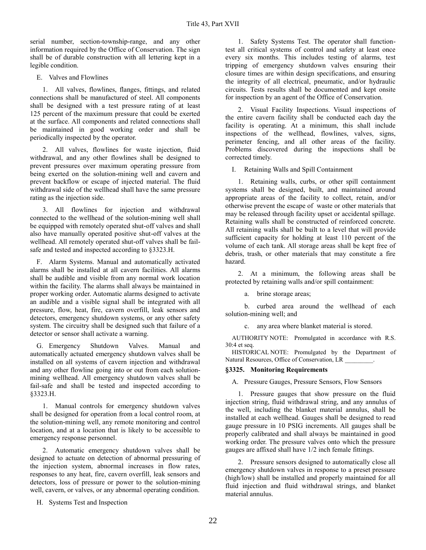serial number, section-township-range, and any other information required by the Office of Conservation. The sign shall be of durable construction with all lettering kept in a legible condition.

E. Valves and Flowlines

1. All valves, flowlines, flanges, fittings, and related connections shall be manufactured of steel. All components shall be designed with a test pressure rating of at least 125 percent of the maximum pressure that could be exerted at the surface. All components and related connections shall be maintained in good working order and shall be periodically inspected by the operator.

2. All valves, flowlines for waste injection, fluid withdrawal, and any other flowlines shall be designed to prevent pressures over maximum operating pressure from being exerted on the solution-mining well and cavern and prevent backflow or escape of injected material. The fluid withdrawal side of the wellhead shall have the same pressure rating as the injection side.

3. All flowlines for injection and withdrawal connected to the wellhead of the solution-mining well shall be equipped with remotely operated shut-off valves and shall also have manually operated positive shut-off valves at the wellhead. All remotely operated shut-off valves shall be failsafe and tested and inspected according to §3323.H.

F. Alarm Systems. Manual and automatically activated alarms shall be installed at all cavern facilities. All alarms shall be audible and visible from any normal work location within the facility. The alarms shall always be maintained in proper working order. Automatic alarms designed to activate an audible and a visible signal shall be integrated with all pressure, flow, heat, fire, cavern overfill, leak sensors and detectors, emergency shutdown systems, or any other safety system. The circuitry shall be designed such that failure of a detector or sensor shall activate a warning.

G. Emergency Shutdown Valves. Manual and automatically actuated emergency shutdown valves shall be installed on all systems of cavern injection and withdrawal and any other flowline going into or out from each solutionmining wellhead. All emergency shutdown valves shall be fail-safe and shall be tested and inspected according to §3323.H.

1. Manual controls for emergency shutdown valves shall be designed for operation from a local control room, at the solution-mining well, any remote monitoring and control location, and at a location that is likely to be accessible to emergency response personnel.

2. Automatic emergency shutdown valves shall be designed to actuate on detection of abnormal pressuring of the injection system, abnormal increases in flow rates, responses to any heat, fire, cavern overfill, leak sensors and detectors, loss of pressure or power to the solution-mining well, cavern, or valves, or any abnormal operating condition.

H. Systems Test and Inspection

1. Safety Systems Test. The operator shall functiontest all critical systems of control and safety at least once every six months. This includes testing of alarms, test tripping of emergency shutdown valves ensuring their closure times are within design specifications, and ensuring the integrity of all electrical, pneumatic, and/or hydraulic circuits. Tests results shall be documented and kept onsite for inspection by an agent of the Office of Conservation.

2. Visual Facility Inspections. Visual inspections of the entire cavern facility shall be conducted each day the facility is operating. At a minimum, this shall include inspections of the wellhead, flowlines, valves, signs, perimeter fencing, and all other areas of the facility. Problems discovered during the inspections shall be corrected timely.

I. Retaining Walls and Spill Containment

1. Retaining walls, curbs, or other spill containment systems shall be designed, built, and maintained around appropriate areas of the facility to collect, retain, and/or otherwise prevent the escape of waste or other materials that may be released through facility upset or accidental spillage. Retaining walls shall be constructed of reinforced concrete. All retaining walls shall be built to a level that will provide sufficient capacity for holding at least 110 percent of the volume of each tank. All storage areas shall be kept free of debris, trash, or other materials that may constitute a fire hazard.

2. At a minimum, the following areas shall be protected by retaining walls and/or spill containment:

a. brine storage areas;

b. curbed area around the wellhead of each solution-mining well; and

c. any area where blanket material is stored.

AUTHORITY NOTE: Promulgated in accordance with R.S. 30:4 et seq.

HISTORICAL NOTE: Promulgated by the Department of Natural Resources, Office of Conservation, LR \_\_\_\_\_\_\_\_\_.

## **§3325. Monitoring Requirements**

A. Pressure Gauges, Pressure Sensors, Flow Sensors

1. Pressure gauges that show pressure on the fluid injection string, fluid withdrawal string, and any annulus of the well, including the blanket material annulus, shall be installed at each wellhead. Gauges shall be designed to read gauge pressure in 10 PSIG increments. All gauges shall be properly calibrated and shall always be maintained in good working order. The pressure valves onto which the pressure gauges are affixed shall have 1/2 inch female fittings.

2. Pressure sensors designed to automatically close all emergency shutdown valves in response to a preset pressure (high/low) shall be installed and properly maintained for all fluid injection and fluid withdrawal strings, and blanket material annulus.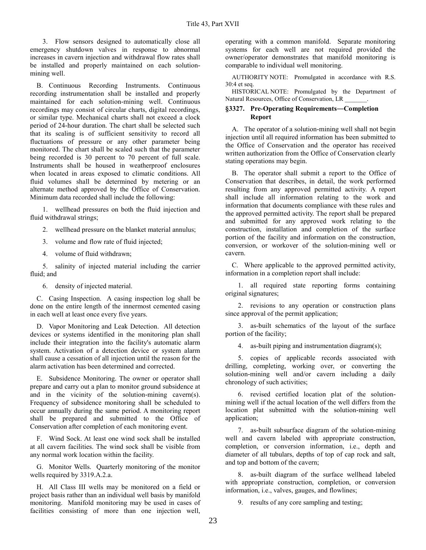3. Flow sensors designed to automatically close all emergency shutdown valves in response to abnormal increases in cavern injection and withdrawal flow rates shall be installed and properly maintained on each solutionmining well.

B. Continuous Recording Instruments. Continuous recording instrumentation shall be installed and properly maintained for each solution-mining well. Continuous recordings may consist of circular charts, digital recordings, or similar type. Mechanical charts shall not exceed a clock period of 24-hour duration. The chart shall be selected such that its scaling is of sufficient sensitivity to record all fluctuations of pressure or any other parameter being monitored. The chart shall be scaled such that the parameter being recorded is 30 percent to 70 percent of full scale. Instruments shall be housed in weatherproof enclosures when located in areas exposed to climatic conditions. All fluid volumes shall be determined by metering or an alternate method approved by the Office of Conservation. Minimum data recorded shall include the following:

1. wellhead pressures on both the fluid injection and fluid withdrawal strings;

- 2. wellhead pressure on the blanket material annulus;
- 3. volume and flow rate of fluid injected;
- 4. volume of fluid withdrawn;

5. salinity of injected material including the carrier fluid; and

6. density of injected material.

C. Casing Inspection. A casing inspection log shall be done on the entire length of the innermost cemented casing in each well at least once every five years.

D. Vapor Monitoring and Leak Detection. All detection devices or systems identified in the monitoring plan shall include their integration into the facility's automatic alarm system. Activation of a detection device or system alarm shall cause a cessation of all injection until the reason for the alarm activation has been determined and corrected.

E. Subsidence Monitoring. The owner or operator shall prepare and carry out a plan to monitor ground subsidence at and in the vicinity of the solution-mining cavern(s). Frequency of subsidence monitoring shall be scheduled to occur annually during the same period. A monitoring report shall be prepared and submitted to the Office of Conservation after completion of each monitoring event.

F. Wind Sock. At least one wind sock shall be installed at all cavern facilities. The wind sock shall be visible from any normal work location within the facility.

G. Monitor Wells. Quarterly monitoring of the monitor wells required by 3319.A.2.a.

H. All Class III wells may be monitored on a field or project basis rather than an individual well basis by manifold monitoring. Manifold monitoring may be used in cases of facilities consisting of more than one injection well,

operating with a common manifold. Separate monitoring systems for each well are not required provided the owner/operator demonstrates that manifold monitoring is comparable to individual well monitoring.

AUTHORITY NOTE: Promulgated in accordance with R.S. 30:4 et seq.

HISTORICAL NOTE: Promulgated by the Department of Natural Resources, Office of Conservation, LR \_\_\_\_\_\_\_.

## **§3327. Pre-Operating Requirements―Completion Report**

A. The operator of a solution-mining well shall not begin injection until all required information has been submitted to the Office of Conservation and the operator has received written authorization from the Office of Conservation clearly stating operations may begin.

B. The operator shall submit a report to the Office of Conservation that describes, in detail, the work performed resulting from any approved permitted activity. A report shall include all information relating to the work and information that documents compliance with these rules and the approved permitted activity. The report shall be prepared and submitted for any approved work relating to the construction, installation and completion of the surface portion of the facility and information on the construction, conversion, or workover of the solution-mining well or cavern.

C. Where applicable to the approved permitted activity, information in a completion report shall include:

1. all required state reporting forms containing original signatures;

2. revisions to any operation or construction plans since approval of the permit application;

3. as-built schematics of the layout of the surface portion of the facility;

4. as-built piping and instrumentation diagram(s);

5. copies of applicable records associated with drilling, completing, working over, or converting the solution-mining well and/or cavern including a daily chronology of such activities;

6. revised certified location plat of the solutionmining well if the actual location of the well differs from the location plat submitted with the solution-mining well application:

7. as-built subsurface diagram of the solution-mining well and cavern labeled with appropriate construction, completion, or conversion information, i.e., depth and diameter of all tubulars, depths of top of cap rock and salt, and top and bottom of the cavern;

8. as-built diagram of the surface wellhead labeled with appropriate construction, completion, or conversion information, i.e., valves, gauges, and flowlines;

9. results of any core sampling and testing;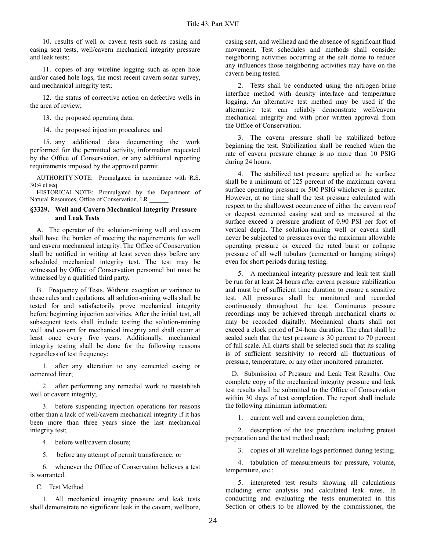10. results of well or cavern tests such as casing and casing seat tests, well/cavern mechanical integrity pressure and leak tests;

11. copies of any wireline logging such as open hole and/or cased hole logs, the most recent cavern sonar survey, and mechanical integrity test;

12. the status of corrective action on defective wells in the area of review;

13. the proposed operating data;

14. the proposed injection procedures; and

15. any additional data documenting the work performed for the permitted activity, information requested by the Office of Conservation, or any additional reporting requirements imposed by the approved permit.

AUTHORITY NOTE: Promulgated in accordance with R.S. 30:4 et seq.

HISTORICAL NOTE: Promulgated by the Department of Natural Resources, Office of Conservation, LR

#### **§3329. Well and Cavern Mechanical Integrity Pressure and Leak Tests**

A. The operator of the solution-mining well and cavern shall have the burden of meeting the requirements for well and cavern mechanical integrity. The Office of Conservation shall be notified in writing at least seven days before any scheduled mechanical integrity test. The test may be witnessed by Office of Conservation personnel but must be witnessed by a qualified third party.

B. Frequency of Tests. Without exception or variance to these rules and regulations, all solution-mining wells shall be tested for and satisfactorily prove mechanical integrity before beginning injection activities. After the initial test, all subsequent tests shall include testing the solution-mining well and cavern for mechanical integrity and shall occur at least once every five years. Additionally, mechanical integrity testing shall be done for the following reasons regardless of test frequency:

1. after any alteration to any cemented casing or cemented liner;

2. after performing any remedial work to reestablish well or cavern integrity;

3. before suspending injection operations for reasons other than a lack of well/cavern mechanical integrity if it has been more than three years since the last mechanical integrity test;

4. before well/cavern closure;

5. before any attempt of permit transference; or

6. whenever the Office of Conservation believes a test is warranted.

C. Test Method

1. All mechanical integrity pressure and leak tests shall demonstrate no significant leak in the cavern, wellbore, casing seat, and wellhead and the absence of significant fluid movement. Test schedules and methods shall consider neighboring activities occurring at the salt dome to reduce any influences those neighboring activities may have on the cavern being tested.

2. Tests shall be conducted using the nitrogen-brine interface method with density interface and temperature logging. An alternative test method may be used if the alternative test can reliably demonstrate well/cavern mechanical integrity and with prior written approval from the Office of Conservation.

3. The cavern pressure shall be stabilized before beginning the test. Stabilization shall be reached when the rate of cavern pressure change is no more than 10 PSIG during 24 hours.

4. The stabilized test pressure applied at the surface shall be a minimum of 125 percent of the maximum cavern surface operating pressure or 500 PSIG whichever is greater. However, at no time shall the test pressure calculated with respect to the shallowest occurrence of either the cavern roof or deepest cemented casing seat and as measured at the surface exceed a pressure gradient of 0.90 PSI per foot of vertical depth. The solution-mining well or cavern shall never be subjected to pressures over the maximum allowable operating pressure or exceed the rated burst or collapse pressure of all well tubulars (cemented or hanging strings) even for short periods during testing.

5. A mechanical integrity pressure and leak test shall be run for at least 24 hours after cavern pressure stabilization and must be of sufficient time duration to ensure a sensitive test. All pressures shall be monitored and recorded continuously throughout the test. Continuous pressure recordings may be achieved through mechanical charts or may be recorded digitally. Mechanical charts shall not exceed a clock period of 24-hour duration. The chart shall be scaled such that the test pressure is 30 percent to 70 percent of full scale. All charts shall be selected such that its scaling is of sufficient sensitivity to record all fluctuations of pressure, temperature, or any other monitored parameter.

D. Submission of Pressure and Leak Test Results. One complete copy of the mechanical integrity pressure and leak test results shall be submitted to the Office of Conservation within 30 days of test completion. The report shall include the following minimum information:

1. current well and cavern completion data;

2. description of the test procedure including pretest preparation and the test method used;

3. copies of all wireline logs performed during testing;

4. tabulation of measurements for pressure, volume, temperature, etc.;

5. interpreted test results showing all calculations including error analysis and calculated leak rates. In conducting and evaluating the tests enumerated in this Section or others to be allowed by the commissioner, the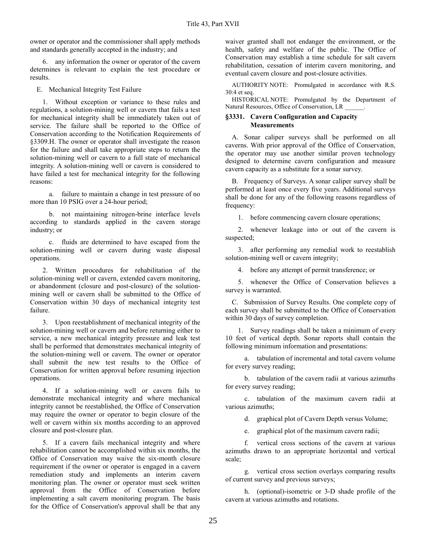owner or operator and the commissioner shall apply methods and standards generally accepted in the industry; and

6. any information the owner or operator of the cavern determines is relevant to explain the test procedure or results.

E. Mechanical Integrity Test Failure

1. Without exception or variance to these rules and regulations, a solution-mining well or cavern that fails a test for mechanical integrity shall be immediately taken out of service. The failure shall be reported to the Office of Conservation according to the Notification Requirements of §3309.H. The owner or operator shall investigate the reason for the failure and shall take appropriate steps to return the solution-mining well or cavern to a full state of mechanical integrity. A solution-mining well or cavern is considered to have failed a test for mechanical integrity for the following reasons:

a. failure to maintain a change in test pressure of no more than 10 PSIG over a 24-hour period;

b. not maintaining nitrogen-brine interface levels according to standards applied in the cavern storage industry; or

c. fluids are determined to have escaped from the solution-mining well or cavern during waste disposal operations.

2. Written procedures for rehabilitation of the solution-mining well or cavern, extended cavern monitoring, or abandonment (closure and post-closure) of the solutionmining well or cavern shall be submitted to the Office of Conservation within 30 days of mechanical integrity test failure.

3. Upon reestablishment of mechanical integrity of the solution-mining well or cavern and before returning either to service, a new mechanical integrity pressure and leak test shall be performed that demonstrates mechanical integrity of the solution-mining well or cavern. The owner or operator shall submit the new test results to the Office of Conservation for written approval before resuming injection operations.

4. If a solution-mining well or cavern fails to demonstrate mechanical integrity and where mechanical integrity cannot be reestablished, the Office of Conservation may require the owner or operator to begin closure of the well or cavern within six months according to an approved closure and post-closure plan.

5. If a cavern fails mechanical integrity and where rehabilitation cannot be accomplished within six months, the Office of Conservation may waive the six-month closure requirement if the owner or operator is engaged in a cavern remediation study and implements an interim cavern monitoring plan. The owner or operator must seek written approval from the Office of Conservation before implementing a salt cavern monitoring program. The basis for the Office of Conservation's approval shall be that any

waiver granted shall not endanger the environment, or the health, safety and welfare of the public. The Office of Conservation may establish a time schedule for salt cavern rehabilitation, cessation of interim cavern monitoring, and eventual cavern closure and post-closure activities.

AUTHORITY NOTE: Promulgated in accordance with R.S. 30:4 et seq.

HISTORICAL NOTE: Promulgated by the Department of Natural Resources, Office of Conservation, LR \_\_\_\_\_\_.

#### **§3331. Cavern Configuration and Capacity Measurements**

A. Sonar caliper surveys shall be performed on all caverns. With prior approval of the Office of Conservation, the operator may use another similar proven technology designed to determine cavern configuration and measure cavern capacity as a substitute for a sonar survey.

B. Frequency of Surveys. A sonar caliper survey shall be performed at least once every five years. Additional surveys shall be done for any of the following reasons regardless of frequency:

1. before commencing cavern closure operations;

2. whenever leakage into or out of the cavern is suspected;

3. after performing any remedial work to reestablish solution-mining well or cavern integrity;

4. before any attempt of permit transference; or

5. whenever the Office of Conservation believes a survey is warranted.

C. Submission of Survey Results. One complete copy of each survey shall be submitted to the Office of Conservation within 30 days of survey completion.

1. Survey readings shall be taken a minimum of every 10 feet of vertical depth. Sonar reports shall contain the following minimum information and presentations:

a. tabulation of incremental and total cavern volume for every survey reading;

b. tabulation of the cavern radii at various azimuths for every survey reading;

c. tabulation of the maximum cavern radii at various azimuths;

d. graphical plot of Cavern Depth versus Volume;

e. graphical plot of the maximum cavern radii;

f. vertical cross sections of the cavern at various azimuths drawn to an appropriate horizontal and vertical scale;

g. vertical cross section overlays comparing results of current survey and previous surveys;

h. (optional)-isometric or 3-D shade profile of the cavern at various azimuths and rotations.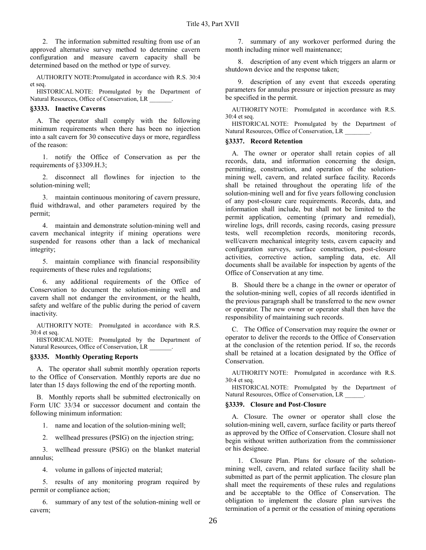2. The information submitted resulting from use of an approved alternative survey method to determine cavern configuration and measure cavern capacity shall be determined based on the method or type of survey.

 AUTHORITY NOTE:Promulgated in accordance with R.S. 30:4 et seq.

HISTORICAL NOTE: Promulgated by the Department of Natural Resources, Office of Conservation, LR \_\_\_\_\_\_\_.

#### **§3333. Inactive Caverns**

A. The operator shall comply with the following minimum requirements when there has been no injection into a salt cavern for 30 consecutive days or more, regardless of the reason:

1. notify the Office of Conservation as per the requirements of §3309.H.3;

2. disconnect all flowlines for injection to the solution-mining well;

3. maintain continuous monitoring of cavern pressure, fluid withdrawal, and other parameters required by the permit;

4. maintain and demonstrate solution-mining well and cavern mechanical integrity if mining operations were suspended for reasons other than a lack of mechanical integrity;

5. maintain compliance with financial responsibility requirements of these rules and regulations;

6. any additional requirements of the Office of Conservation to document the solution-mining well and cavern shall not endanger the environment, or the health, safety and welfare of the public during the period of cavern inactivity.

AUTHORITY NOTE: Promulgated in accordance with R.S. 30:4 et seq.

HISTORICAL NOTE: Promulgated by the Department of Natural Resources, Office of Conservation, LR \_\_\_\_\_\_\_.

## **§3335. Monthly Operating Reports**

A. The operator shall submit monthly operation reports to the Office of Conservation. Monthly reports are due no later than 15 days following the end of the reporting month.

B. Monthly reports shall be submitted electronically on Form UIC 33/34 or successor document and contain the following minimum information:

1. name and location of the solution-mining well;

2. wellhead pressures (PSIG) on the injection string;

3. wellhead pressure (PSIG) on the blanket material annulus;

4. volume in gallons of injected material;

5. results of any monitoring program required by permit or compliance action;

6. summary of any test of the solution-mining well or cavern;

7. summary of any workover performed during the month including minor well maintenance;

8. description of any event which triggers an alarm or shutdown device and the response taken;

9. description of any event that exceeds operating parameters for annulus pressure or injection pressure as may be specified in the permit.

AUTHORITY NOTE: Promulgated in accordance with R.S. 30:4 et seq.

HISTORICAL NOTE: Promulgated by the Department of Natural Resources, Office of Conservation, LR \_\_\_\_\_\_\_\_.

#### **§3337. Record Retention**

A. The owner or operator shall retain copies of all records, data, and information concerning the design, permitting, construction, and operation of the solutionmining well, cavern, and related surface facility. Records shall be retained throughout the operating life of the solution-mining well and for five years following conclusion of any post-closure care requirements. Records, data, and information shall include, but shall not be limited to the permit application, cementing (primary and remedial), wireline logs, drill records, casing records, casing pressure tests, well recompletion records, monitoring records, well/cavern mechanical integrity tests, cavern capacity and configuration surveys, surface construction, post-closure activities, corrective action, sampling data, etc. All documents shall be available for inspection by agents of the Office of Conservation at any time.

B. Should there be a change in the owner or operator of the solution-mining well, copies of all records identified in the previous paragraph shall be transferred to the new owner or operator. The new owner or operator shall then have the responsibility of maintaining such records.

C. The Office of Conservation may require the owner or operator to deliver the records to the Office of Conservation at the conclusion of the retention period. If so, the records shall be retained at a location designated by the Office of Conservation.

AUTHORITY NOTE: Promulgated in accordance with R.S. 30:4 et seq.

HISTORICAL NOTE: Promulgated by the Department of Natural Resources, Office of Conservation, LR

## **§3339. Closure and Post-Closure**

A. Closure. The owner or operator shall close the solution-mining well, cavern, surface facility or parts thereof as approved by the Office of Conservation. Closure shall not begin without written authorization from the commissioner or his designee.

1. Closure Plan. Plans for closure of the solutionmining well, cavern, and related surface facility shall be submitted as part of the permit application. The closure plan shall meet the requirements of these rules and regulations and be acceptable to the Office of Conservation. The obligation to implement the closure plan survives the termination of a permit or the cessation of mining operations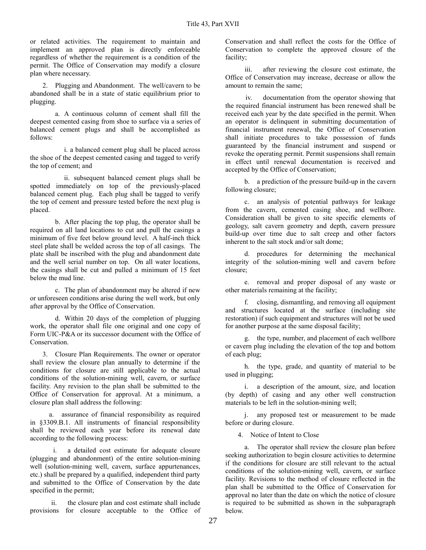or related activities. The requirement to maintain and implement an approved plan is directly enforceable regardless of whether the requirement is a condition of the permit. The Office of Conservation may modify a closure plan where necessary.

2. Plugging and Abandonment. The well/cavern to be abandoned shall be in a state of static equilibrium prior to plugging.

a. A continuous column of cement shall fill the deepest cemented casing from shoe to surface via a series of balanced cement plugs and shall be accomplished as follows:

i. a balanced cement plug shall be placed across the shoe of the deepest cemented casing and tagged to verify the top of cement; and

ii. subsequent balanced cement plugs shall be spotted immediately on top of the previously-placed balanced cement plug. Each plug shall be tagged to verify the top of cement and pressure tested before the next plug is placed.

b. After placing the top plug, the operator shall be required on all land locations to cut and pull the casings a minimum of five feet below ground level. A half-inch thick steel plate shall be welded across the top of all casings. The plate shall be inscribed with the plug and abandonment date and the well serial number on top. On all water locations, the casings shall be cut and pulled a minimum of 15 feet below the mud line.

c. The plan of abandonment may be altered if new or unforeseen conditions arise during the well work, but only after approval by the Office of Conservation.

d. Within 20 days of the completion of plugging work, the operator shall file one original and one copy of Form UIC-P&A or its successor document with the Office of **Conservation** 

3. Closure Plan Requirements. The owner or operator shall review the closure plan annually to determine if the conditions for closure are still applicable to the actual conditions of the solution-mining well, cavern, or surface facility. Any revision to the plan shall be submitted to the Office of Conservation for approval. At a minimum, a closure plan shall address the following:

a. assurance of financial responsibility as required in §3309.B.1. All instruments of financial responsibility shall be reviewed each year before its renewal date according to the following process:

i. a detailed cost estimate for adequate closure (plugging and abandonment) of the entire solution-mining well (solution-mining well, cavern, surface appurtenances, etc.) shall be prepared by a qualified, independent third party and submitted to the Office of Conservation by the date specified in the permit;

ii. the closure plan and cost estimate shall include provisions for closure acceptable to the Office of Conservation and shall reflect the costs for the Office of Conservation to complete the approved closure of the facility;

iii. after reviewing the closure cost estimate, the Office of Conservation may increase, decrease or allow the amount to remain the same;

iv. documentation from the operator showing that the required financial instrument has been renewed shall be received each year by the date specified in the permit. When an operator is delinquent in submitting documentation of financial instrument renewal, the Office of Conservation shall initiate procedures to take possession of funds guaranteed by the financial instrument and suspend or revoke the operating permit. Permit suspensions shall remain in effect until renewal documentation is received and accepted by the Office of Conservation;

b. a prediction of the pressure build-up in the cavern following closure;

c. an analysis of potential pathways for leakage from the cavern, cemented casing shoe, and wellbore. Consideration shall be given to site specific elements of geology, salt cavern geometry and depth, cavern pressure build-up over time due to salt creep and other factors inherent to the salt stock and/or salt dome;

d. procedures for determining the mechanical integrity of the solution-mining well and cavern before closure;

e. removal and proper disposal of any waste or other materials remaining at the facility;

f. closing, dismantling, and removing all equipment and structures located at the surface (including site restoration) if such equipment and structures will not be used for another purpose at the same disposal facility;

g. the type, number, and placement of each wellbore or cavern plug including the elevation of the top and bottom of each plug;

h. the type, grade, and quantity of material to be used in plugging;

i. a description of the amount, size, and location (by depth) of casing and any other well construction materials to be left in the solution-mining well;

j. any proposed test or measurement to be made before or during closure.

4. Notice of Intent to Close

a. The operator shall review the closure plan before seeking authorization to begin closure activities to determine if the conditions for closure are still relevant to the actual conditions of the solution-mining well, cavern, or surface facility. Revisions to the method of closure reflected in the plan shall be submitted to the Office of Conservation for approval no later than the date on which the notice of closure is required to be submitted as shown in the subparagraph below.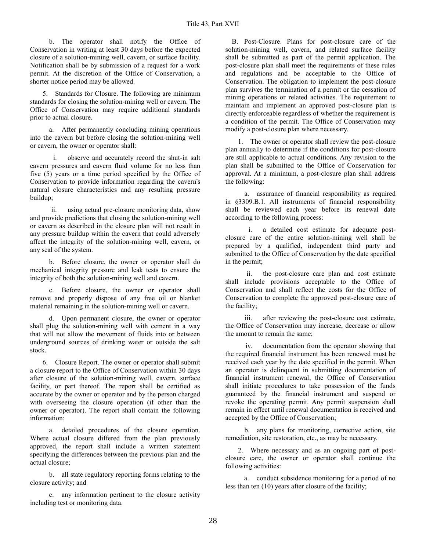b. The operator shall notify the Office of Conservation in writing at least 30 days before the expected closure of a solution-mining well, cavern, or surface facility. Notification shall be by submission of a request for a work permit. At the discretion of the Office of Conservation, a shorter notice period may be allowed.

5. Standards for Closure. The following are minimum standards for closing the solution-mining well or cavern. The Office of Conservation may require additional standards prior to actual closure.

a. After permanently concluding mining operations into the cavern but before closing the solution-mining well or cavern, the owner or operator shall:

i. observe and accurately record the shut-in salt cavern pressures and cavern fluid volume for no less than five (5) years or a time period specified by the Office of Conservation to provide information regarding the cavern's natural closure characteristics and any resulting pressure buildup;

ii. using actual pre-closure monitoring data, show and provide predictions that closing the solution-mining well or cavern as described in the closure plan will not result in any pressure buildup within the cavern that could adversely affect the integrity of the solution-mining well, cavern, or any seal of the system.

b. Before closure, the owner or operator shall do mechanical integrity pressure and leak tests to ensure the integrity of both the solution-mining well and cavern.

c. Before closure, the owner or operator shall remove and properly dispose of any free oil or blanket material remaining in the solution-mining well or cavern.

d. Upon permanent closure, the owner or operator shall plug the solution-mining well with cement in a way that will not allow the movement of fluids into or between underground sources of drinking water or outside the salt stock.

6. Closure Report. The owner or operator shall submit a closure report to the Office of Conservation within 30 days after closure of the solution-mining well, cavern, surface facility, or part thereof. The report shall be certified as accurate by the owner or operator and by the person charged with overseeing the closure operation (if other than the owner or operator). The report shall contain the following information:

a. detailed procedures of the closure operation. Where actual closure differed from the plan previously approved, the report shall include a written statement specifying the differences between the previous plan and the actual closure;

b. all state regulatory reporting forms relating to the closure activity; and

c. any information pertinent to the closure activity including test or monitoring data.

B. Post-Closure. Plans for post-closure care of the solution-mining well, cavern, and related surface facility shall be submitted as part of the permit application. The post-closure plan shall meet the requirements of these rules and regulations and be acceptable to the Office of Conservation. The obligation to implement the post-closure plan survives the termination of a permit or the cessation of mining operations or related activities. The requirement to maintain and implement an approved post-closure plan is directly enforceable regardless of whether the requirement is a condition of the permit. The Office of Conservation may modify a post-closure plan where necessary.

1. The owner or operator shall review the post-closure plan annually to determine if the conditions for post-closure are still applicable to actual conditions. Any revision to the plan shall be submitted to the Office of Conservation for approval. At a minimum, a post-closure plan shall address the following:

a. assurance of financial responsibility as required in §3309.B.1. All instruments of financial responsibility shall be reviewed each year before its renewal date according to the following process:

i. a detailed cost estimate for adequate postclosure care of the entire solution-mining well shall be prepared by a qualified, independent third party and submitted to the Office of Conservation by the date specified in the permit;

ii. the post-closure care plan and cost estimate shall include provisions acceptable to the Office of Conservation and shall reflect the costs for the Office of Conservation to complete the approved post-closure care of the facility;

iii. after reviewing the post-closure cost estimate, the Office of Conservation may increase, decrease or allow the amount to remain the same;

iv. documentation from the operator showing that the required financial instrument has been renewed must be received each year by the date specified in the permit. When an operator is delinquent in submitting documentation of financial instrument renewal, the Office of Conservation shall initiate procedures to take possession of the funds guaranteed by the financial instrument and suspend or revoke the operating permit. Any permit suspension shall remain in effect until renewal documentation is received and accepted by the Office of Conservation;

b. any plans for monitoring, corrective action, site remediation, site restoration, etc., as may be necessary.

2. Where necessary and as an ongoing part of postclosure care, the owner or operator shall continue the following activities:

a. conduct subsidence monitoring for a period of no less than ten (10) years after closure of the facility;